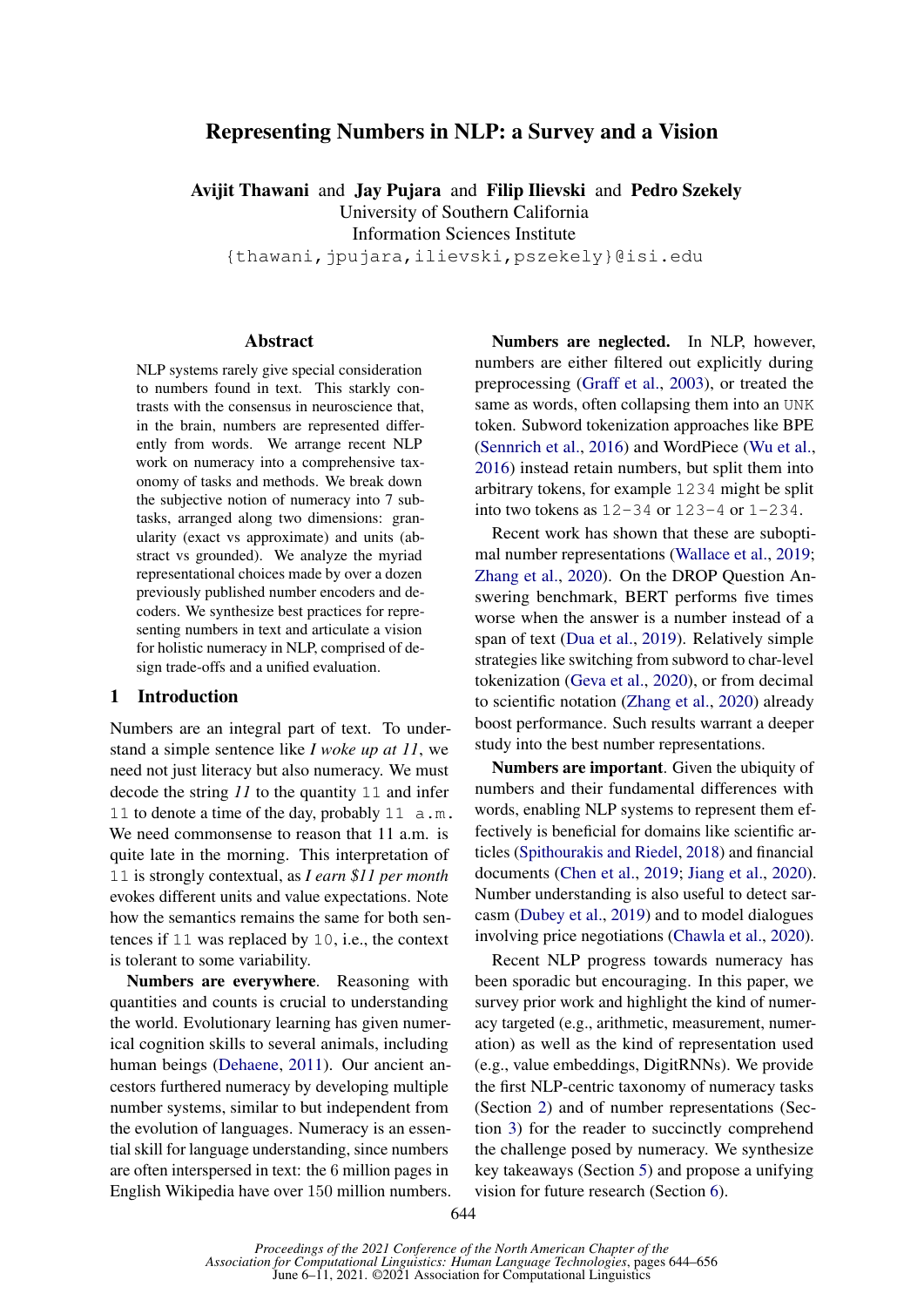# Representing Numbers in NLP: a Survey and a Vision

Avijit Thawani and Jay Pujara and Filip Ilievski and Pedro Szekely University of Southern California

Information Sciences Institute

{thawani,jpujara,ilievski,pszekely}@isi.edu

#### Abstract

NLP systems rarely give special consideration to numbers found in text. This starkly contrasts with the consensus in neuroscience that, in the brain, numbers are represented differently from words. We arrange recent NLP work on numeracy into a comprehensive taxonomy of tasks and methods. We break down the subjective notion of numeracy into 7 subtasks, arranged along two dimensions: granularity (exact vs approximate) and units (abstract vs grounded). We analyze the myriad representational choices made by over a dozen previously published number encoders and decoders. We synthesize best practices for representing numbers in text and articulate a vision for holistic numeracy in NLP, comprised of design trade-offs and a unified evaluation.

### 1 Introduction

Numbers are an integral part of text. To understand a simple sentence like *I woke up at 11*, we need not just literacy but also numeracy. We must decode the string *11* to the quantity 11 and infer 11 to denote a time of the day, probably 11 a.m. We need commonsense to reason that 11 a.m. is quite late in the morning. This interpretation of 11 is strongly contextual, as *I earn \$11 per month* evokes different units and value expectations. Note how the semantics remains the same for both sentences if 11 was replaced by 10, i.e., the context is tolerant to some variability.

Numbers are everywhere. Reasoning with quantities and counts is crucial to understanding the world. Evolutionary learning has given numerical cognition skills to several animals, including human beings [\(Dehaene,](#page-9-0) [2011\)](#page-9-0). Our ancient ancestors furthered numeracy by developing multiple number systems, similar to but independent from the evolution of languages. Numeracy is an essential skill for language understanding, since numbers are often interspersed in text: the 6 million pages in English Wikipedia have over 150 million numbers.

Numbers are neglected. In NLP, however, numbers are either filtered out explicitly during preprocessing [\(Graff et al.,](#page-10-0) [2003\)](#page-10-0), or treated the same as words, often collapsing them into an UNK token. Subword tokenization approaches like BPE [\(Sennrich et al.,](#page-11-0) [2016\)](#page-11-0) and WordPiece [\(Wu et al.,](#page-12-0) [2016\)](#page-12-0) instead retain numbers, but split them into arbitrary tokens, for example 1234 might be split into two tokens as  $12-34$  or  $123-4$  or  $1-234$ .

Recent work has shown that these are suboptimal number representations [\(Wallace et al.,](#page-12-1) [2019;](#page-12-1) [Zhang et al.,](#page-12-2) [2020\)](#page-12-2). On the DROP Question Answering benchmark, BERT performs five times worse when the answer is a number instead of a span of text [\(Dua et al.,](#page-10-1) [2019\)](#page-10-1). Relatively simple strategies like switching from subword to char-level tokenization [\(Geva et al.,](#page-10-2) [2020\)](#page-10-2), or from decimal to scientific notation [\(Zhang et al.,](#page-12-2) [2020\)](#page-12-2) already boost performance. Such results warrant a deeper study into the best number representations.

Numbers are important. Given the ubiquity of numbers and their fundamental differences with words, enabling NLP systems to represent them effectively is beneficial for domains like scientific articles [\(Spithourakis and Riedel,](#page-11-1) [2018\)](#page-11-1) and financial documents [\(Chen et al.,](#page-9-1) [2019;](#page-9-1) [Jiang et al.,](#page-10-3) [2020\)](#page-10-3). Number understanding is also useful to detect sarcasm [\(Dubey et al.,](#page-10-4) [2019\)](#page-10-4) and to model dialogues involving price negotiations [\(Chawla et al.,](#page-9-2) [2020\)](#page-9-2).

Recent NLP progress towards numeracy has been sporadic but encouraging. In this paper, we survey prior work and highlight the kind of numeracy targeted (e.g., arithmetic, measurement, numeration) as well as the kind of representation used (e.g., value embeddings, DigitRNNs). We provide the first NLP-centric taxonomy of numeracy tasks (Section [2\)](#page-1-0) and of number representations (Section [3\)](#page-3-0) for the reader to succinctly comprehend the challenge posed by numeracy. We synthesize key takeaways (Section [5\)](#page-7-0) and propose a unifying vision for future research (Section [6\)](#page-7-1).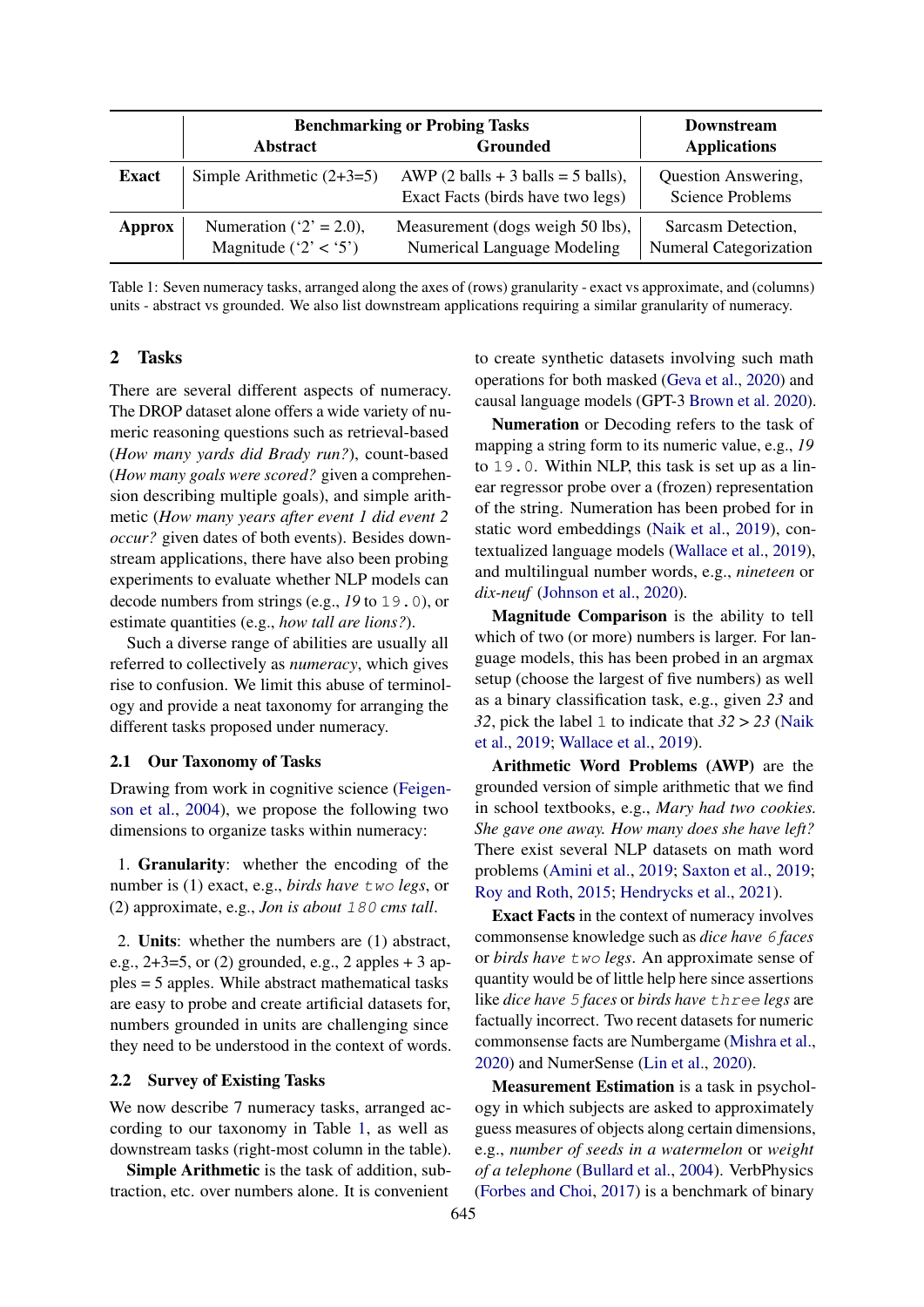<span id="page-1-1"></span>

|               | <b>Benchmarking or Probing Tasks</b>                  | Downstream                                                                 |                                                     |  |
|---------------|-------------------------------------------------------|----------------------------------------------------------------------------|-----------------------------------------------------|--|
|               | <b>Abstract</b>                                       | Grounded                                                                   | <b>Applications</b>                                 |  |
| <b>Exact</b>  | Simple Arithmetic $(2+3=5)$                           | AWP $(2 balls + 3 balls = 5 balls)$ ,<br>Exact Facts (birds have two legs) | Question Answering,<br><b>Science Problems</b>      |  |
| <b>Approx</b> | Numeration ( $2' = 2.0$ ),<br>Magnitude ( $2' < 5'$ ) | Measurement (dogs weigh 50 lbs),<br>Numerical Language Modeling            | Sarcasm Detection,<br><b>Numeral Categorization</b> |  |

Table 1: Seven numeracy tasks, arranged along the axes of (rows) granularity - exact vs approximate, and (columns) units - abstract vs grounded. We also list downstream applications requiring a similar granularity of numeracy.

### <span id="page-1-0"></span>2 Tasks

There are several different aspects of numeracy. The DROP dataset alone offers a wide variety of numeric reasoning questions such as retrieval-based (*How many yards did Brady run?*), count-based (*How many goals were scored?* given a comprehension describing multiple goals), and simple arithmetic (*How many years after event 1 did event 2 occur?* given dates of both events). Besides downstream applications, there have also been probing experiments to evaluate whether NLP models can decode numbers from strings (e.g., *19* to 19.0), or estimate quantities (e.g., *how tall are lions?*).

Such a diverse range of abilities are usually all referred to collectively as *numeracy*, which gives rise to confusion. We limit this abuse of terminology and provide a neat taxonomy for arranging the different tasks proposed under numeracy.

### <span id="page-1-3"></span>2.1 Our Taxonomy of Tasks

Drawing from work in cognitive science [\(Feigen](#page-10-5)[son et al.,](#page-10-5) [2004\)](#page-10-5), we propose the following two dimensions to organize tasks within numeracy:

1. Granularity: whether the encoding of the number is (1) exact, e.g., *birds have* two *legs*, or (2) approximate, e.g., *Jon is about* 180 *cms tall*.

2. Units: whether the numbers are (1) abstract, e.g.,  $2+3=5$ , or (2) grounded, e.g., 2 apples  $+3$  apples = 5 apples. While abstract mathematical tasks are easy to probe and create artificial datasets for, numbers grounded in units are challenging since they need to be understood in the context of words.

### <span id="page-1-2"></span>2.2 Survey of Existing Tasks

We now describe 7 numeracy tasks, arranged according to our taxonomy in Table [1,](#page-1-1) as well as downstream tasks (right-most column in the table).

Simple Arithmetic is the task of addition, subtraction, etc. over numbers alone. It is convenient to create synthetic datasets involving such math operations for both masked [\(Geva et al.,](#page-10-2) [2020\)](#page-10-2) and causal language models (GPT-3 [Brown et al.](#page-9-3) [2020\)](#page-9-3).

Numeration or Decoding refers to the task of mapping a string form to its numeric value, e.g., *19* to 19.0. Within NLP, this task is set up as a linear regressor probe over a (frozen) representation of the string. Numeration has been probed for in static word embeddings [\(Naik et al.,](#page-11-2) [2019\)](#page-11-2), contextualized language models [\(Wallace et al.,](#page-12-1) [2019\)](#page-12-1), and multilingual number words, e.g., *nineteen* or *dix-neuf* [\(Johnson et al.,](#page-10-6) [2020\)](#page-10-6).

Magnitude Comparison is the ability to tell which of two (or more) numbers is larger. For language models, this has been probed in an argmax setup (choose the largest of five numbers) as well as a binary classification task, e.g., given *23* and *32*, pick the label 1 to indicate that *32* > *23* [\(Naik](#page-11-2) [et al.,](#page-11-2) [2019;](#page-11-2) [Wallace et al.,](#page-12-1) [2019\)](#page-12-1).

Arithmetic Word Problems (AWP) are the grounded version of simple arithmetic that we find in school textbooks, e.g., *Mary had two cookies. She gave one away. How many does she have left?* There exist several NLP datasets on math word problems [\(Amini et al.,](#page-9-4) [2019;](#page-9-4) [Saxton et al.,](#page-11-3) [2019;](#page-11-3) [Roy and Roth,](#page-11-4) [2015;](#page-11-4) [Hendrycks et al.,](#page-10-7) [2021\)](#page-10-7).

Exact Facts in the context of numeracy involves commonsense knowledge such as *dice have* 6 *faces* or *birds have* two *legs*. An approximate sense of quantity would be of little help here since assertions like *dice have* 5 *faces* or *birds have* three *legs* are factually incorrect. Two recent datasets for numeric commonsense facts are Numbergame [\(Mishra et al.,](#page-10-8) [2020\)](#page-10-8) and NumerSense [\(Lin et al.,](#page-10-9) [2020\)](#page-10-9).

Measurement Estimation is a task in psychology in which subjects are asked to approximately guess measures of objects along certain dimensions, e.g., *number of seeds in a watermelon* or *weight of a telephone* [\(Bullard et al.,](#page-9-5) [2004\)](#page-9-5). VerbPhysics [\(Forbes and Choi,](#page-10-10) [2017\)](#page-10-10) is a benchmark of binary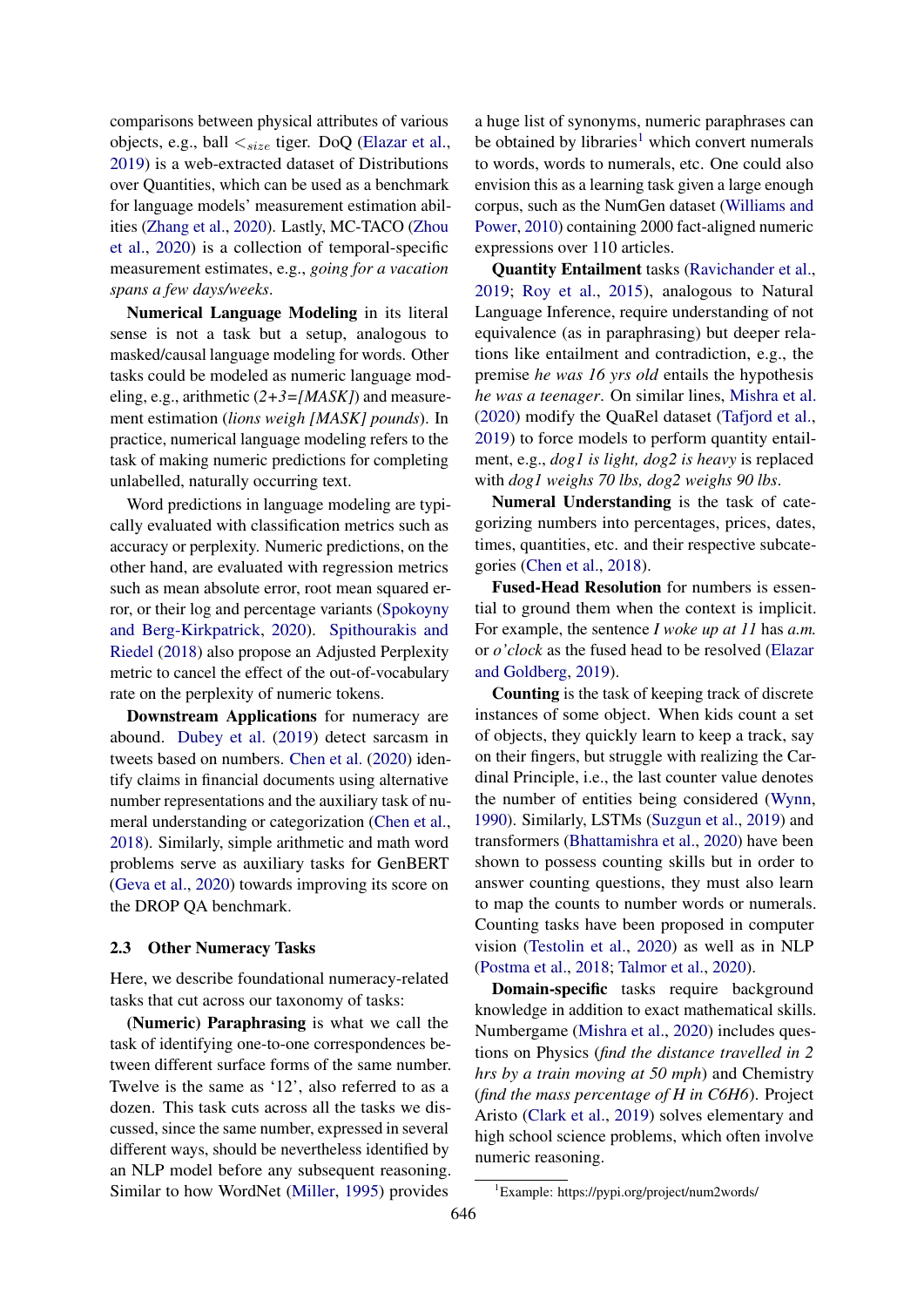comparisons between physical attributes of various objects, e.g., ball  $\lt_{size}$  tiger. DoQ [\(Elazar et al.,](#page-10-11) [2019\)](#page-10-11) is a web-extracted dataset of Distributions over Quantities, which can be used as a benchmark for language models' measurement estimation abilities [\(Zhang et al.,](#page-12-2) [2020\)](#page-12-2). Lastly, MC-TACO [\(Zhou](#page-12-3) [et al.,](#page-12-3) [2020\)](#page-12-3) is a collection of temporal-specific measurement estimates, e.g., *going for a vacation spans a few days/weeks*.

Numerical Language Modeling in its literal sense is not a task but a setup, analogous to masked/causal language modeling for words. Other tasks could be modeled as numeric language modeling, e.g., arithmetic (*2+3=[MASK]*) and measurement estimation (*lions weigh [MASK] pounds*). In practice, numerical language modeling refers to the task of making numeric predictions for completing unlabelled, naturally occurring text.

Word predictions in language modeling are typically evaluated with classification metrics such as accuracy or perplexity. Numeric predictions, on the other hand, are evaluated with regression metrics such as mean absolute error, root mean squared error, or their log and percentage variants [\(Spokoyny](#page-11-5) [and Berg-Kirkpatrick,](#page-11-5) [2020\)](#page-11-5). [Spithourakis and](#page-11-1) [Riedel](#page-11-1) [\(2018\)](#page-11-1) also propose an Adjusted Perplexity metric to cancel the effect of the out-of-vocabulary rate on the perplexity of numeric tokens.

Downstream Applications for numeracy are abound. [Dubey et al.](#page-10-4) [\(2019\)](#page-10-4) detect sarcasm in tweets based on numbers. [Chen et al.](#page-9-6) [\(2020\)](#page-9-6) identify claims in financial documents using alternative number representations and the auxiliary task of numeral understanding or categorization [\(Chen et al.,](#page-9-7) [2018\)](#page-9-7). Similarly, simple arithmetic and math word problems serve as auxiliary tasks for GenBERT [\(Geva et al.,](#page-10-2) [2020\)](#page-10-2) towards improving its score on the DROP QA benchmark.

#### 2.3 Other Numeracy Tasks

Here, we describe foundational numeracy-related tasks that cut across our taxonomy of tasks:

(Numeric) Paraphrasing is what we call the task of identifying one-to-one correspondences between different surface forms of the same number. Twelve is the same as '12', also referred to as a dozen. This task cuts across all the tasks we discussed, since the same number, expressed in several different ways, should be nevertheless identified by an NLP model before any subsequent reasoning. Similar to how WordNet [\(Miller,](#page-10-12) [1995\)](#page-10-12) provides

a huge list of synonyms, numeric paraphrases can be obtained by libraries<sup>[1](#page-2-0)</sup> which convert numerals to words, words to numerals, etc. One could also envision this as a learning task given a large enough corpus, such as the NumGen dataset [\(Williams and](#page-12-4) [Power,](#page-12-4) [2010\)](#page-12-4) containing 2000 fact-aligned numeric expressions over 110 articles.

Quantity Entailment tasks [\(Ravichander et al.,](#page-11-6) [2019;](#page-11-6) [Roy et al.,](#page-11-7) [2015\)](#page-11-7), analogous to Natural Language Inference, require understanding of not equivalence (as in paraphrasing) but deeper relations like entailment and contradiction, e.g., the premise *he was 16 yrs old* entails the hypothesis *he was a teenager*. On similar lines, [Mishra et al.](#page-10-8) [\(2020\)](#page-10-8) modify the QuaRel dataset [\(Tafjord et al.,](#page-12-5) [2019\)](#page-12-5) to force models to perform quantity entailment, e.g., *dog1 is light, dog2 is heavy* is replaced with *dog1 weighs 70 lbs, dog2 weighs 90 lbs*.

Numeral Understanding is the task of categorizing numbers into percentages, prices, dates, times, quantities, etc. and their respective subcategories [\(Chen et al.,](#page-9-7) [2018\)](#page-9-7).

Fused-Head Resolution for numbers is essential to ground them when the context is implicit. For example, the sentence *I woke up at 11* has *a.m.* or *o'clock* as the fused head to be resolved [\(Elazar](#page-10-13) [and Goldberg,](#page-10-13) [2019\)](#page-10-13).

Counting is the task of keeping track of discrete instances of some object. When kids count a set of objects, they quickly learn to keep a track, say on their fingers, but struggle with realizing the Cardinal Principle, i.e., the last counter value denotes the number of entities being considered [\(Wynn,](#page-12-6) [1990\)](#page-12-6). Similarly, LSTMs [\(Suzgun et al.,](#page-12-7) [2019\)](#page-12-7) and transformers [\(Bhattamishra et al.,](#page-9-8) [2020\)](#page-9-8) have been shown to possess counting skills but in order to answer counting questions, they must also learn to map the counts to number words or numerals. Counting tasks have been proposed in computer vision [\(Testolin et al.,](#page-12-8) [2020\)](#page-12-8) as well as in NLP [\(Postma et al.,](#page-11-8) [2018;](#page-11-8) [Talmor et al.,](#page-12-9) [2020\)](#page-12-9).

Domain-specific tasks require background knowledge in addition to exact mathematical skills. Numbergame [\(Mishra et al.,](#page-10-8) [2020\)](#page-10-8) includes questions on Physics (*find the distance travelled in 2 hrs by a train moving at 50 mph*) and Chemistry (*find the mass percentage of H in C6H6*). Project Aristo [\(Clark et al.,](#page-9-9) [2019\)](#page-9-9) solves elementary and high school science problems, which often involve numeric reasoning.

<span id="page-2-0"></span><sup>1</sup>Example: https://pypi.org/project/num2words/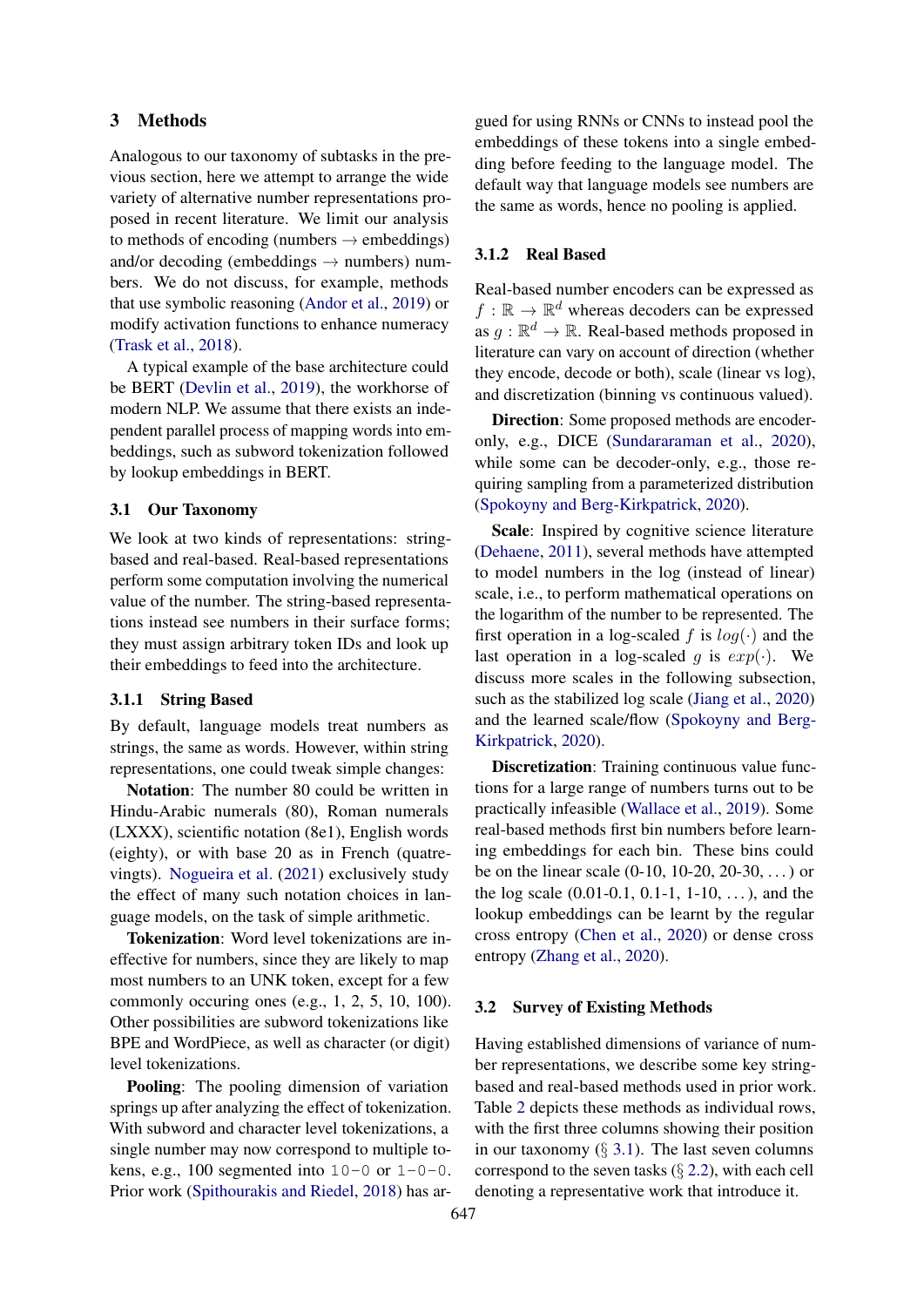# <span id="page-3-0"></span>3 Methods

Analogous to our taxonomy of subtasks in the previous section, here we attempt to arrange the wide variety of alternative number representations proposed in recent literature. We limit our analysis to methods of encoding (numbers  $\rightarrow$  embeddings) and/or decoding (embeddings  $\rightarrow$  numbers) numbers. We do not discuss, for example, methods that use symbolic reasoning [\(Andor et al.,](#page-9-10) [2019\)](#page-9-10) or modify activation functions to enhance numeracy [\(Trask et al.,](#page-12-10) [2018\)](#page-12-10).

A typical example of the base architecture could be BERT [\(Devlin et al.,](#page-10-14) [2019\)](#page-10-14), the workhorse of modern NLP. We assume that there exists an independent parallel process of mapping words into embeddings, such as subword tokenization followed by lookup embeddings in BERT.

### <span id="page-3-1"></span>3.1 Our Taxonomy

We look at two kinds of representations: stringbased and real-based. Real-based representations perform some computation involving the numerical value of the number. The string-based representations instead see numbers in their surface forms; they must assign arbitrary token IDs and look up their embeddings to feed into the architecture.

#### <span id="page-3-3"></span>3.1.1 String Based

By default, language models treat numbers as strings, the same as words. However, within string representations, one could tweak simple changes:

Notation: The number 80 could be written in Hindu-Arabic numerals (80), Roman numerals (LXXX), scientific notation (8e1), English words (eighty), or with base 20 as in French (quatrevingts). [Nogueira et al.](#page-11-9) [\(2021\)](#page-11-9) exclusively study the effect of many such notation choices in language models, on the task of simple arithmetic.

Tokenization: Word level tokenizations are ineffective for numbers, since they are likely to map most numbers to an UNK token, except for a few commonly occuring ones (e.g., 1, 2, 5, 10, 100). Other possibilities are subword tokenizations like BPE and WordPiece, as well as character (or digit) level tokenizations.

Pooling: The pooling dimension of variation springs up after analyzing the effect of tokenization. With subword and character level tokenizations, a single number may now correspond to multiple tokens, e.g., 100 segmented into  $10-0$  or  $1-0-0$ . Prior work [\(Spithourakis and Riedel,](#page-11-1) [2018\)](#page-11-1) has argued for using RNNs or CNNs to instead pool the embeddings of these tokens into a single embedding before feeding to the language model. The default way that language models see numbers are the same as words, hence no pooling is applied.

#### <span id="page-3-4"></span>3.1.2 Real Based

Real-based number encoders can be expressed as  $f: \mathbb{R} \to \mathbb{R}^d$  whereas decoders can be expressed as  $g : \mathbb{R}^d \to \mathbb{R}$ . Real-based methods proposed in literature can vary on account of direction (whether they encode, decode or both), scale (linear vs log), and discretization (binning vs continuous valued).

Direction: Some proposed methods are encoderonly, e.g., DICE [\(Sundararaman et al.,](#page-11-10) [2020\)](#page-11-10), while some can be decoder-only, e.g., those requiring sampling from a parameterized distribution [\(Spokoyny and Berg-Kirkpatrick,](#page-11-5) [2020\)](#page-11-5).

Scale: Inspired by cognitive science literature [\(Dehaene,](#page-9-0) [2011\)](#page-9-0), several methods have attempted to model numbers in the log (instead of linear) scale, i.e., to perform mathematical operations on the logarithm of the number to be represented. The first operation in a log-scaled f is  $log(·)$  and the last operation in a log-scaled g is  $exp(·)$ . We discuss more scales in the following subsection, such as the stabilized log scale [\(Jiang et al.,](#page-10-3) [2020\)](#page-10-3) and the learned scale/flow [\(Spokoyny and Berg-](#page-11-5)[Kirkpatrick,](#page-11-5) [2020\)](#page-11-5).

Discretization: Training continuous value functions for a large range of numbers turns out to be practically infeasible [\(Wallace et al.,](#page-12-1) [2019\)](#page-12-1). Some real-based methods first bin numbers before learning embeddings for each bin. These bins could be on the linear scale (0-10, 10-20, 20-30, . . . ) or the log scale  $(0.01-0.1, 0.1-1, 1-10, ...)$ , and the lookup embeddings can be learnt by the regular cross entropy [\(Chen et al.,](#page-9-6) [2020\)](#page-9-6) or dense cross entropy [\(Zhang et al.,](#page-12-2) [2020\)](#page-12-2).

#### <span id="page-3-2"></span>3.2 Survey of Existing Methods

Having established dimensions of variance of number representations, we describe some key stringbased and real-based methods used in prior work. Table [2](#page-4-0) depicts these methods as individual rows, with the first three columns showing their position in our taxonomy  $(\S 3.1)$  $(\S 3.1)$ . The last seven columns correspond to the seven tasks  $(\S 2.2)$  $(\S 2.2)$ , with each cell denoting a representative work that introduce it.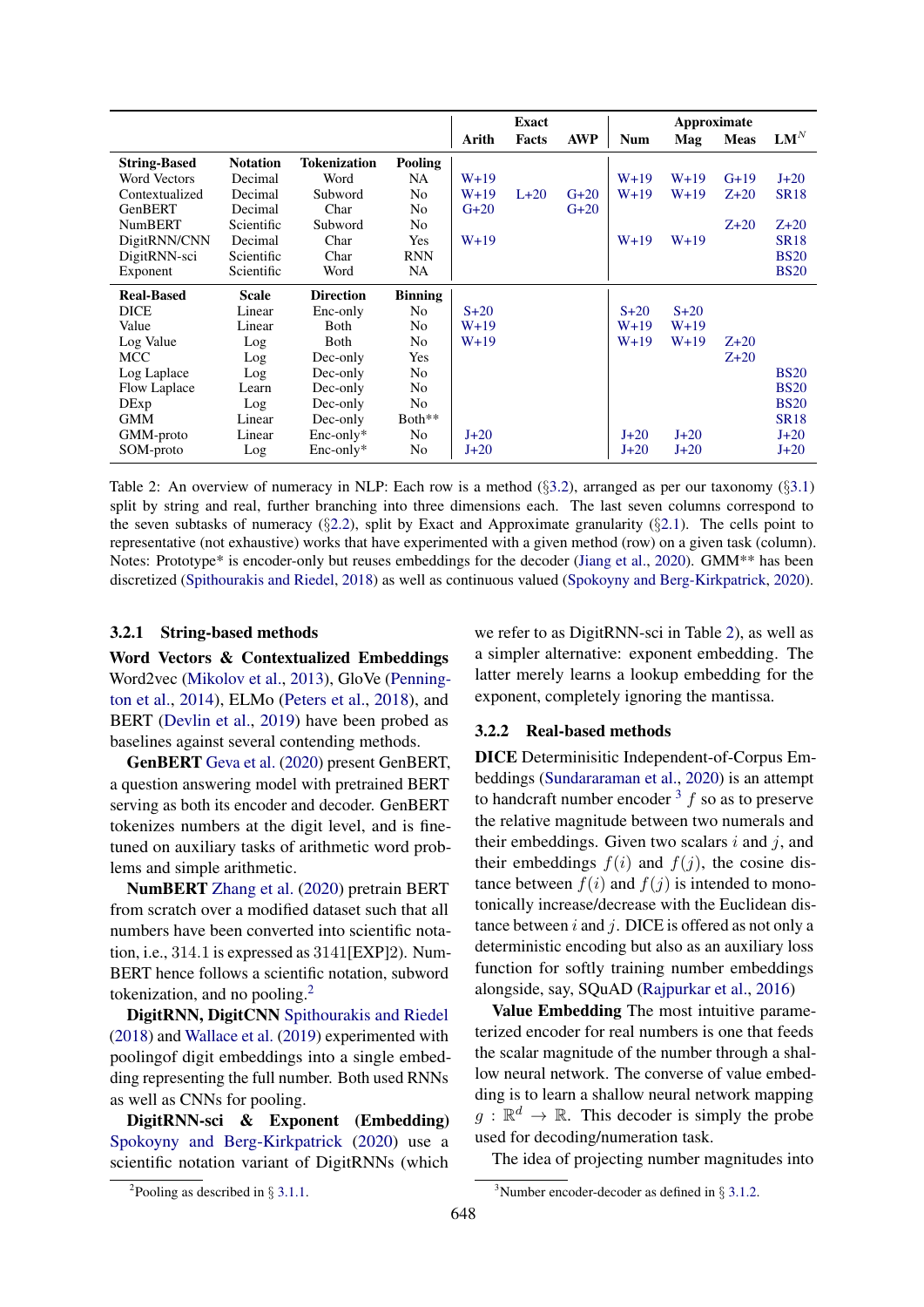<span id="page-4-0"></span>

|                     |                 |                     |                | <b>Exact</b> |        |            | Approximate |        |             |             |
|---------------------|-----------------|---------------------|----------------|--------------|--------|------------|-------------|--------|-------------|-------------|
|                     |                 |                     |                | Arith        | Facts  | <b>AWP</b> | <b>Num</b>  | Mag    | <b>Meas</b> | $LM^N$      |
| <b>String-Based</b> | <b>Notation</b> | <b>Tokenization</b> | Pooling        |              |        |            |             |        |             |             |
| Word Vectors        | Decimal         | Word                | NA.            | $W+19$       |        |            | $W+19$      | $W+19$ | $G+19$      | $J+20$      |
| Contextualized      | Decimal         | Subword             | N <sub>0</sub> | $W+19$       | $L+20$ | $G+20$     | $W+19$      | $W+19$ | $Z+20$      | <b>SR18</b> |
| GenBERT             | Decimal         | Char                | N <sub>0</sub> | $G+20$       |        | $G+20$     |             |        |             |             |
| <b>NumBERT</b>      | Scientific      | Subword             | N <sub>o</sub> |              |        |            |             |        | $Z+20$      | $Z+20$      |
| DigitRNN/CNN        | Decimal         | Char                | <b>Yes</b>     | $W+19$       |        |            | $W+19$      | $W+19$ |             | <b>SR18</b> |
| DigitRNN-sci        | Scientific      | Char                | <b>RNN</b>     |              |        |            |             |        |             | <b>BS20</b> |
| Exponent            | Scientific      | Word                | NA             |              |        |            |             |        |             | <b>BS20</b> |
| <b>Real-Based</b>   | <b>Scale</b>    | <b>Direction</b>    | <b>Binning</b> |              |        |            |             |        |             |             |
| <b>DICE</b>         | Linear          | Enc-only            | No             | $S+20$       |        |            | $S+20$      | $S+20$ |             |             |
| Value               | Linear          | Both                | N <sub>0</sub> | $W+19$       |        |            | $W+19$      | $W+19$ |             |             |
| Log Value           | Log             | Both                | N <sub>0</sub> | $W+19$       |        |            | $W+19$      | $W+19$ | $Z+20$      |             |
| <b>MCC</b>          | Log             | Dec-only            | Yes            |              |        |            |             |        | $Z+20$      |             |
| Log Laplace         | Log             | Dec-only            | No             |              |        |            |             |        |             | <b>BS20</b> |
| Flow Laplace        | Learn           | Dec-only            | N <sub>0</sub> |              |        |            |             |        |             | <b>BS20</b> |
| DExp                | Log             | Dec-only            | N <sub>0</sub> |              |        |            |             |        |             | <b>BS20</b> |
| <b>GMM</b>          | Linear          | Dec-only            | Both**         |              |        |            |             |        |             | <b>SR18</b> |
| GMM-proto           | Linear          | $Enc-only*$         | No             | $J+20$       |        |            | $J+20$      | $J+20$ |             | $J+20$      |
| SOM-proto           | Log             | $Enc-only*$         | No             | $J+20$       |        |            | $J+20$      | $J+20$ |             | $J+20$      |

Table 2: An overview of numeracy in NLP: Each row is a method (§[3.2\)](#page-3-2), arranged as per our taxonomy (§[3.1\)](#page-3-1) split by string and real, further branching into three dimensions each. The last seven columns correspond to the seven subtasks of numeracy (§[2.2\)](#page-1-2), split by Exact and Approximate granularity (§[2.1\)](#page-1-3). The cells point to representative (not exhaustive) works that have experimented with a given method (row) on a given task (column). Notes: Prototype\* is encoder-only but reuses embeddings for the decoder [\(Jiang et al.,](#page-10-3) [2020\)](#page-10-3). GMM\*\* has been discretized [\(Spithourakis and Riedel,](#page-11-1) [2018\)](#page-11-1) as well as continuous valued [\(Spokoyny and Berg-Kirkpatrick,](#page-11-5) [2020\)](#page-11-5).

### 3.2.1 String-based methods

Word Vectors & Contextualized Embeddings Word2vec [\(Mikolov et al.,](#page-10-16) [2013\)](#page-10-16), GloVe [\(Penning](#page-11-11)[ton et al.,](#page-11-11) [2014\)](#page-11-11), ELMo [\(Peters et al.,](#page-11-12) [2018\)](#page-11-12), and BERT [\(Devlin et al.,](#page-10-14) [2019\)](#page-10-14) have been probed as baselines against several contending methods.

GenBERT [Geva et al.](#page-10-2) [\(2020\)](#page-10-2) present GenBERT, a question answering model with pretrained BERT serving as both its encoder and decoder. GenBERT tokenizes numbers at the digit level, and is finetuned on auxiliary tasks of arithmetic word problems and simple arithmetic.

NumBERT [Zhang et al.](#page-12-2) [\(2020\)](#page-12-2) pretrain BERT from scratch over a modified dataset such that all numbers have been converted into scientific notation, i.e., 314.1 is expressed as 3141[EXP]2). Num-BERT hence follows a scientific notation, subword tokenization, and no pooling. $<sup>2</sup>$  $<sup>2</sup>$  $<sup>2</sup>$ </sup>

DigitRNN, DigitCNN [Spithourakis and Riedel](#page-11-1) [\(2018\)](#page-11-1) and [Wallace et al.](#page-12-1) [\(2019\)](#page-12-1) experimented with poolingof digit embeddings into a single embedding representing the full number. Both used RNNs as well as CNNs for pooling.

DigitRNN-sci & Exponent (Embedding) [Spokoyny and Berg-Kirkpatrick](#page-11-5) [\(2020\)](#page-11-5) use a scientific notation variant of DigitRNNs (which we refer to as DigitRNN-sci in Table [2\)](#page-4-0), as well as a simpler alternative: exponent embedding. The latter merely learns a lookup embedding for the exponent, completely ignoring the mantissa.

### 3.2.2 Real-based methods

DICE Determinisitic Independent-of-Corpus Embeddings [\(Sundararaman et al.,](#page-11-10) [2020\)](#page-11-10) is an attempt to handcraft number encoder  $3 \text{ } f$  $3 \text{ } f$  so as to preserve the relative magnitude between two numerals and their embeddings. Given two scalars  $i$  and  $j$ , and their embeddings  $f(i)$  and  $f(j)$ , the cosine distance between  $f(i)$  and  $f(j)$  is intended to monotonically increase/decrease with the Euclidean distance between  $i$  and  $j$ . DICE is offered as not only a deterministic encoding but also as an auxiliary loss function for softly training number embeddings alongside, say, SQuAD [\(Rajpurkar et al.,](#page-11-13) [2016\)](#page-11-13)

Value Embedding The most intuitive parameterized encoder for real numbers is one that feeds the scalar magnitude of the number through a shallow neural network. The converse of value embedding is to learn a shallow neural network mapping  $g: \mathbb{R}^d \to \mathbb{R}$ . This decoder is simply the probe used for decoding/numeration task.

<span id="page-4-2"></span>The idea of projecting number magnitudes into

<span id="page-4-1"></span><sup>&</sup>lt;sup>2</sup>Pooling as described in  $\S 3.1.1$ .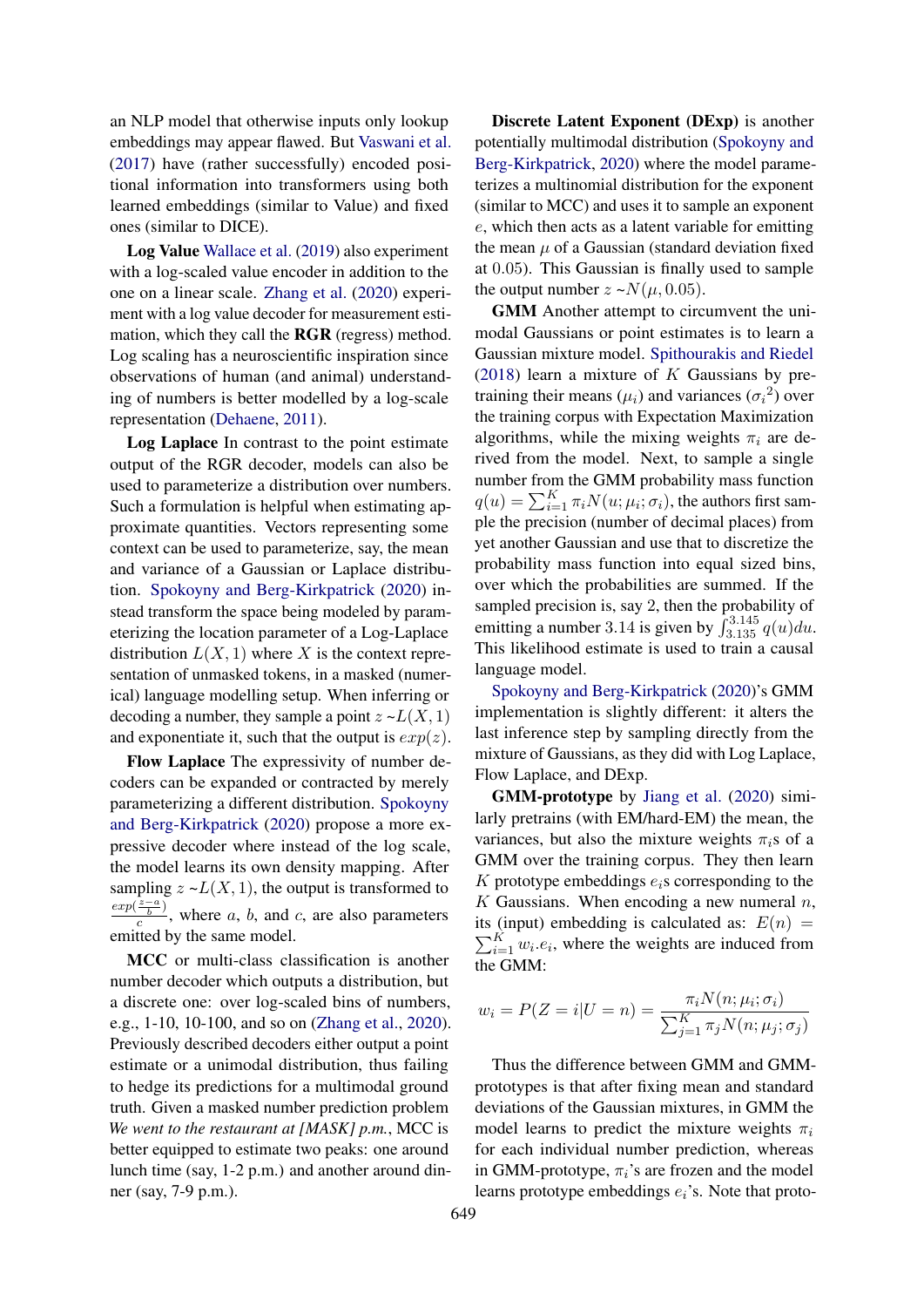an NLP model that otherwise inputs only lookup embeddings may appear flawed. But [Vaswani et al.](#page-12-11) [\(2017\)](#page-12-11) have (rather successfully) encoded positional information into transformers using both learned embeddings (similar to Value) and fixed ones (similar to DICE).

Log Value [Wallace et al.](#page-12-1) [\(2019\)](#page-12-1) also experiment with a log-scaled value encoder in addition to the one on a linear scale. [Zhang et al.](#page-12-2) [\(2020\)](#page-12-2) experiment with a log value decoder for measurement estimation, which they call the RGR (regress) method. Log scaling has a neuroscientific inspiration since observations of human (and animal) understanding of numbers is better modelled by a log-scale representation [\(Dehaene,](#page-9-0) [2011\)](#page-9-0).

Log Laplace In contrast to the point estimate output of the RGR decoder, models can also be used to parameterize a distribution over numbers. Such a formulation is helpful when estimating approximate quantities. Vectors representing some context can be used to parameterize, say, the mean and variance of a Gaussian or Laplace distribution. [Spokoyny and Berg-Kirkpatrick](#page-11-5) [\(2020\)](#page-11-5) instead transform the space being modeled by parameterizing the location parameter of a Log-Laplace distribution  $L(X, 1)$  where X is the context representation of unmasked tokens, in a masked (numerical) language modelling setup. When inferring or decoding a number, they sample a point  $z \sim L(X, 1)$ and exponentiate it, such that the output is  $exp(z)$ .

Flow Laplace The expressivity of number decoders can be expanded or contracted by merely parameterizing a different distribution. [Spokoyny](#page-11-5) [and Berg-Kirkpatrick](#page-11-5) [\(2020\)](#page-11-5) propose a more expressive decoder where instead of the log scale, the model learns its own density mapping. After sampling  $z \sim L(X, 1)$ , the output is transformed to  $exp(\frac{z-a}{b})$  $\frac{\overline{b}}{c}$ , where a, b, and c, are also parameters emitted by the same model.

MCC or multi-class classification is another number decoder which outputs a distribution, but a discrete one: over log-scaled bins of numbers, e.g., 1-10, 10-100, and so on [\(Zhang et al.,](#page-12-2) [2020\)](#page-12-2). Previously described decoders either output a point estimate or a unimodal distribution, thus failing to hedge its predictions for a multimodal ground truth. Given a masked number prediction problem *We went to the restaurant at [MASK] p.m.*, MCC is better equipped to estimate two peaks: one around lunch time (say, 1-2 p.m.) and another around dinner (say, 7-9 p.m.).

Discrete Latent Exponent (DExp) is another potentially multimodal distribution [\(Spokoyny and](#page-11-5) [Berg-Kirkpatrick,](#page-11-5) [2020\)](#page-11-5) where the model parameterizes a multinomial distribution for the exponent (similar to MCC) and uses it to sample an exponent e, which then acts as a latent variable for emitting the mean  $\mu$  of a Gaussian (standard deviation fixed at 0.05). This Gaussian is finally used to sample the output number  $z \sim N(\mu, 0.05)$ .

GMM Another attempt to circumvent the unimodal Gaussians or point estimates is to learn a Gaussian mixture model. [Spithourakis and Riedel](#page-11-1) [\(2018\)](#page-11-1) learn a mixture of  $K$  Gaussians by pretraining their means  $(\mu_i)$  and variances  $(\sigma_i^2)$  over the training corpus with Expectation Maximization algorithms, while the mixing weights  $\pi_i$  are derived from the model. Next, to sample a single number from the GMM probability mass function  $q(u) = \sum_{i=1}^{K} \pi_i N(u; \mu_i; \sigma_i)$ , the authors first sample the precision (number of decimal places) from yet another Gaussian and use that to discretize the probability mass function into equal sized bins, over which the probabilities are summed. If the sampled precision is, say 2, then the probability of emitting a number 3.14 is given by  $\int_{3.135}^{3.145} q(u) du$ . This likelihood estimate is used to train a causal language model.

[Spokoyny and Berg-Kirkpatrick](#page-11-5) [\(2020\)](#page-11-5)'s GMM implementation is slightly different: it alters the last inference step by sampling directly from the mixture of Gaussians, as they did with Log Laplace, Flow Laplace, and DExp.

GMM-prototype by [Jiang et al.](#page-10-3) [\(2020\)](#page-10-3) similarly pretrains (with EM/hard-EM) the mean, the variances, but also the mixture weights  $\pi_i$ s of a GMM over the training corpus. They then learn K prototype embeddings  $e_i$ s corresponding to the K Gaussians. When encoding a new numeral  $n$ ,  $\sum_{i=1}^{K} w_i \cdot e_i$ , where the weights are induced from its (input) embedding is calculated as:  $E(n)$  = the GMM:

$$
w_i = P(Z = i | U = n) = \frac{\pi_i N(n; \mu_i; \sigma_i)}{\sum_{j=1}^K \pi_j N(n; \mu_j; \sigma_j)}
$$

Thus the difference between GMM and GMMprototypes is that after fixing mean and standard deviations of the Gaussian mixtures, in GMM the model learns to predict the mixture weights  $\pi_i$ for each individual number prediction, whereas in GMM-prototype,  $\pi_i$ 's are frozen and the model learns prototype embeddings  $e_i$ 's. Note that proto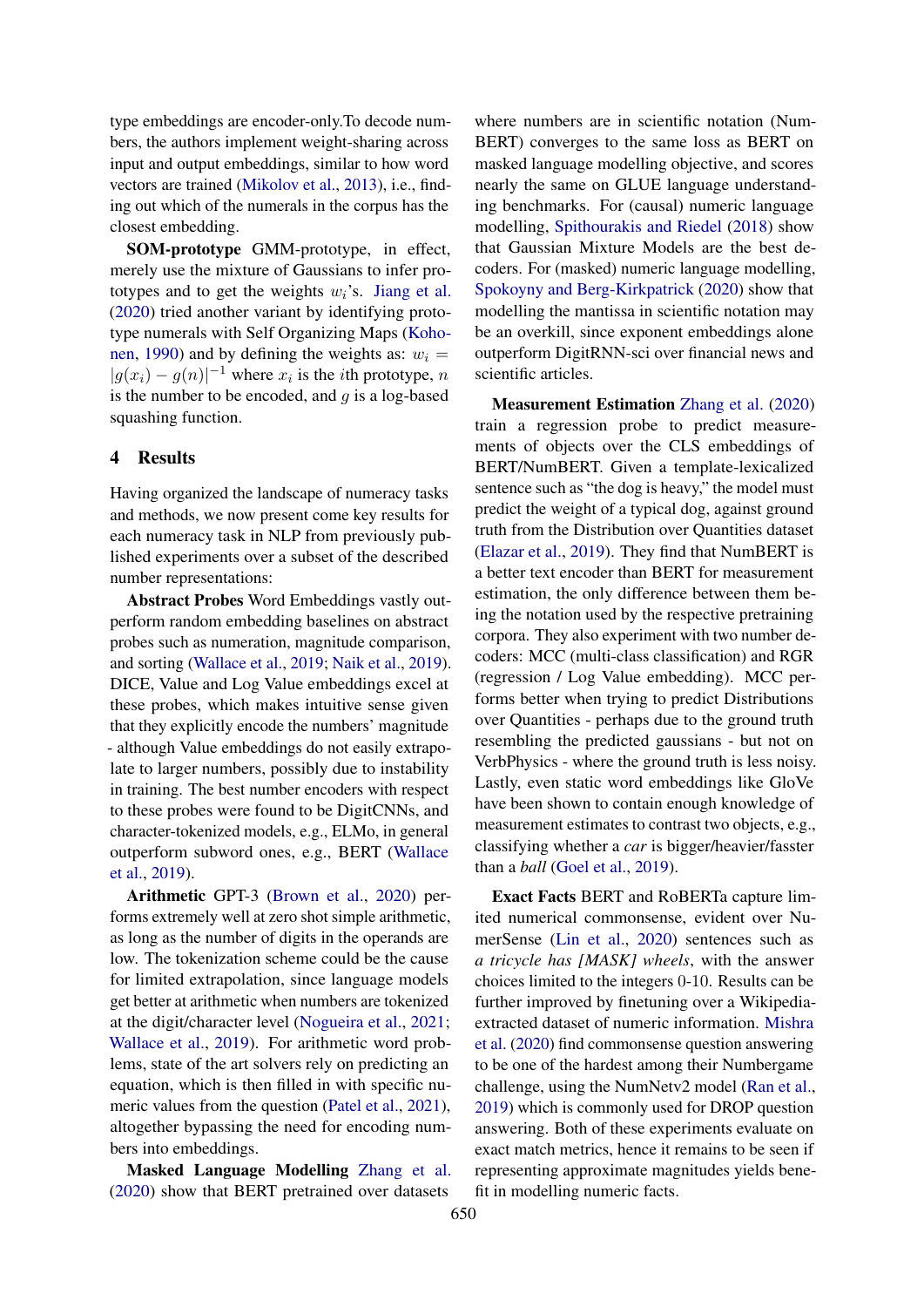type embeddings are encoder-only.To decode numbers, the authors implement weight-sharing across input and output embeddings, similar to how word vectors are trained [\(Mikolov et al.,](#page-10-16) [2013\)](#page-10-16), i.e., finding out which of the numerals in the corpus has the closest embedding.

SOM-prototype GMM-prototype, in effect, merely use the mixture of Gaussians to infer prototypes and to get the weights  $w_i$ 's. [Jiang et al.](#page-10-3) [\(2020\)](#page-10-3) tried another variant by identifying prototype numerals with Self Organizing Maps [\(Koho](#page-10-17)[nen,](#page-10-17) [1990\)](#page-10-17) and by defining the weights as:  $w_i =$  $|g(x_i) - g(n)|^{-1}$  where  $x_i$  is the *i*th prototype, *n* is the number to be encoded, and  $q$  is a log-based squashing function.

### 4 Results

Having organized the landscape of numeracy tasks and methods, we now present come key results for each numeracy task in NLP from previously published experiments over a subset of the described number representations:

Abstract Probes Word Embeddings vastly outperform random embedding baselines on abstract probes such as numeration, magnitude comparison, and sorting [\(Wallace et al.,](#page-12-1) [2019;](#page-12-1) [Naik et al.,](#page-11-2) [2019\)](#page-11-2). DICE, Value and Log Value embeddings excel at these probes, which makes intuitive sense given that they explicitly encode the numbers' magnitude - although Value embeddings do not easily extrapolate to larger numbers, possibly due to instability in training. The best number encoders with respect to these probes were found to be DigitCNNs, and character-tokenized models, e.g., ELMo, in general outperform subword ones, e.g., BERT [\(Wallace](#page-12-1) [et al.,](#page-12-1) [2019\)](#page-12-1).

Arithmetic GPT-3 [\(Brown et al.,](#page-9-3) [2020\)](#page-9-3) performs extremely well at zero shot simple arithmetic, as long as the number of digits in the operands are low. The tokenization scheme could be the cause for limited extrapolation, since language models get better at arithmetic when numbers are tokenized at the digit/character level [\(Nogueira et al.,](#page-11-9) [2021;](#page-11-9) [Wallace et al.,](#page-12-1) [2019\)](#page-12-1). For arithmetic word problems, state of the art solvers rely on predicting an equation, which is then filled in with specific numeric values from the question [\(Patel et al.,](#page-11-14) [2021\)](#page-11-14), altogether bypassing the need for encoding numbers into embeddings.

Masked Language Modelling [Zhang et al.](#page-12-2) [\(2020\)](#page-12-2) show that BERT pretrained over datasets

where numbers are in scientific notation (Num-BERT) converges to the same loss as BERT on masked language modelling objective, and scores nearly the same on GLUE language understanding benchmarks. For (causal) numeric language modelling, [Spithourakis and Riedel](#page-11-1) [\(2018\)](#page-11-1) show that Gaussian Mixture Models are the best decoders. For (masked) numeric language modelling, [Spokoyny and Berg-Kirkpatrick](#page-11-5) [\(2020\)](#page-11-5) show that modelling the mantissa in scientific notation may be an overkill, since exponent embeddings alone outperform DigitRNN-sci over financial news and scientific articles.

Measurement Estimation [Zhang et al.](#page-12-2) [\(2020\)](#page-12-2) train a regression probe to predict measurements of objects over the CLS embeddings of BERT/NumBERT. Given a template-lexicalized sentence such as "the dog is heavy," the model must predict the weight of a typical dog, against ground truth from the Distribution over Quantities dataset [\(Elazar et al.,](#page-10-11) [2019\)](#page-10-11). They find that NumBERT is a better text encoder than BERT for measurement estimation, the only difference between them being the notation used by the respective pretraining corpora. They also experiment with two number decoders: MCC (multi-class classification) and RGR (regression / Log Value embedding). MCC performs better when trying to predict Distributions over Quantities - perhaps due to the ground truth resembling the predicted gaussians - but not on VerbPhysics - where the ground truth is less noisy. Lastly, even static word embeddings like GloVe have been shown to contain enough knowledge of measurement estimates to contrast two objects, e.g., classifying whether a *car* is bigger/heavier/fasster than a *ball* [\(Goel et al.,](#page-10-15) [2019\)](#page-10-15).

Exact Facts BERT and RoBERTa capture limited numerical commonsense, evident over NumerSense [\(Lin et al.,](#page-10-9) [2020\)](#page-10-9) sentences such as *a tricycle has [MASK] wheels*, with the answer choices limited to the integers 0-10. Results can be further improved by finetuning over a Wikipediaextracted dataset of numeric information. [Mishra](#page-10-8) [et al.](#page-10-8) [\(2020\)](#page-10-8) find commonsense question answering to be one of the hardest among their Numbergame challenge, using the NumNetv2 model [\(Ran et al.,](#page-11-15) [2019\)](#page-11-15) which is commonly used for DROP question answering. Both of these experiments evaluate on exact match metrics, hence it remains to be seen if representing approximate magnitudes yields benefit in modelling numeric facts.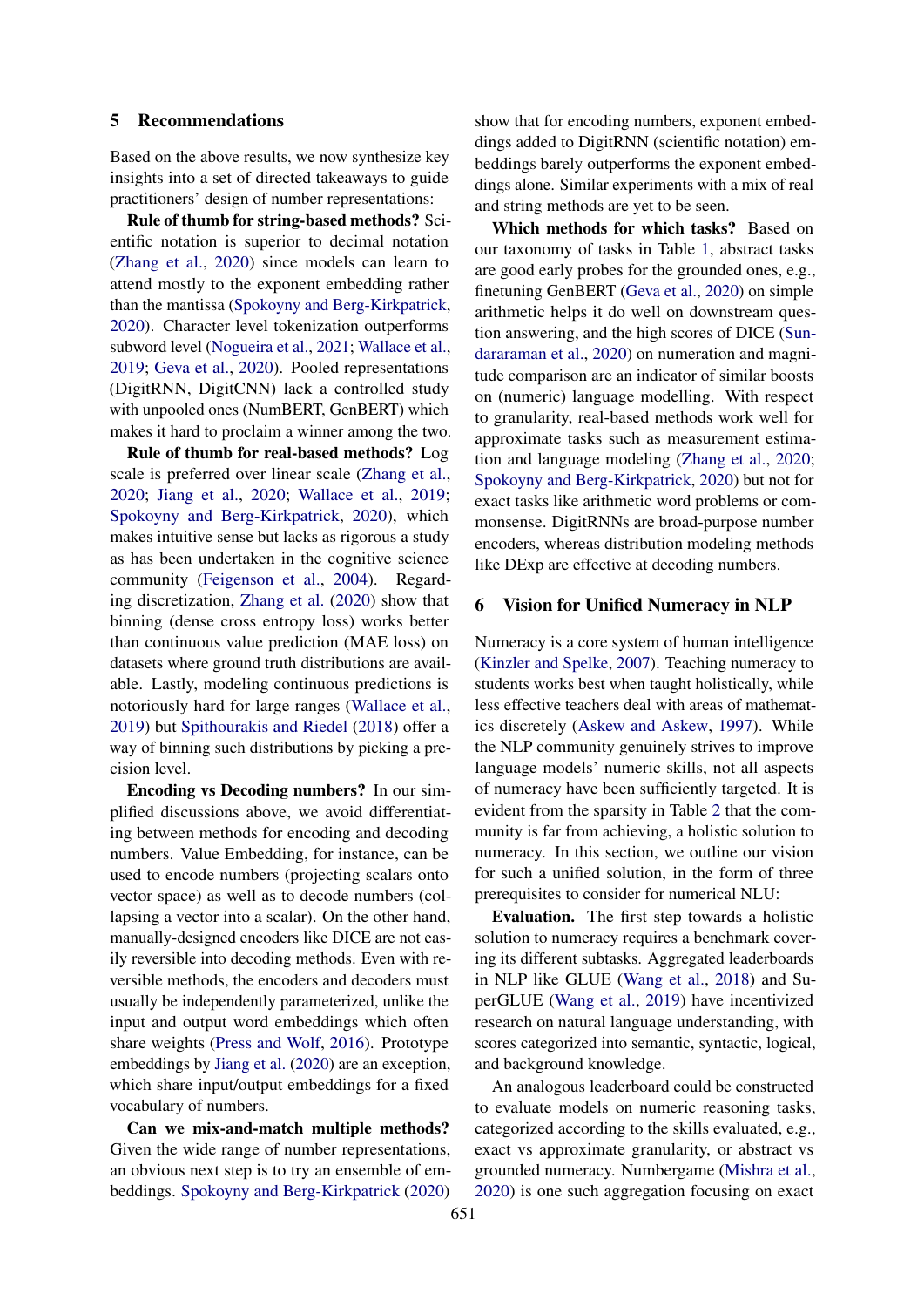### <span id="page-7-0"></span>5 Recommendations

Based on the above results, we now synthesize key insights into a set of directed takeaways to guide practitioners' design of number representations:

Rule of thumb for string-based methods? Scientific notation is superior to decimal notation [\(Zhang et al.,](#page-12-2) [2020\)](#page-12-2) since models can learn to attend mostly to the exponent embedding rather than the mantissa [\(Spokoyny and Berg-Kirkpatrick,](#page-11-5) [2020\)](#page-11-5). Character level tokenization outperforms subword level [\(Nogueira et al.,](#page-11-9) [2021;](#page-11-9) [Wallace et al.,](#page-12-1) [2019;](#page-12-1) [Geva et al.,](#page-10-2) [2020\)](#page-10-2). Pooled representations (DigitRNN, DigitCNN) lack a controlled study with unpooled ones (NumBERT, GenBERT) which makes it hard to proclaim a winner among the two.

Rule of thumb for real-based methods? Log scale is preferred over linear scale [\(Zhang et al.,](#page-12-2) [2020;](#page-12-2) [Jiang et al.,](#page-10-3) [2020;](#page-10-3) [Wallace et al.,](#page-12-1) [2019;](#page-12-1) [Spokoyny and Berg-Kirkpatrick,](#page-11-5) [2020\)](#page-11-5), which makes intuitive sense but lacks as rigorous a study as has been undertaken in the cognitive science community [\(Feigenson et al.,](#page-10-5) [2004\)](#page-10-5). Regarding discretization, [Zhang et al.](#page-12-2) [\(2020\)](#page-12-2) show that binning (dense cross entropy loss) works better than continuous value prediction (MAE loss) on datasets where ground truth distributions are available. Lastly, modeling continuous predictions is notoriously hard for large ranges [\(Wallace et al.,](#page-12-1) [2019\)](#page-12-1) but [Spithourakis and Riedel](#page-11-1) [\(2018\)](#page-11-1) offer a way of binning such distributions by picking a precision level.

Encoding vs Decoding numbers? In our simplified discussions above, we avoid differentiating between methods for encoding and decoding numbers. Value Embedding, for instance, can be used to encode numbers (projecting scalars onto vector space) as well as to decode numbers (collapsing a vector into a scalar). On the other hand, manually-designed encoders like DICE are not easily reversible into decoding methods. Even with reversible methods, the encoders and decoders must usually be independently parameterized, unlike the input and output word embeddings which often share weights [\(Press and Wolf,](#page-11-16) [2016\)](#page-11-16). Prototype embeddings by [Jiang et al.](#page-10-3) [\(2020\)](#page-10-3) are an exception, which share input/output embeddings for a fixed vocabulary of numbers.

Can we mix-and-match multiple methods? Given the wide range of number representations, an obvious next step is to try an ensemble of embeddings. [Spokoyny and Berg-Kirkpatrick](#page-11-5) [\(2020\)](#page-11-5) show that for encoding numbers, exponent embeddings added to DigitRNN (scientific notation) embeddings barely outperforms the exponent embeddings alone. Similar experiments with a mix of real and string methods are yet to be seen.

Which methods for which tasks? Based on our taxonomy of tasks in Table [1,](#page-1-1) abstract tasks are good early probes for the grounded ones, e.g., finetuning GenBERT [\(Geva et al.,](#page-10-2) [2020\)](#page-10-2) on simple arithmetic helps it do well on downstream question answering, and the high scores of DICE [\(Sun](#page-11-10)[dararaman et al.,](#page-11-10) [2020\)](#page-11-10) on numeration and magnitude comparison are an indicator of similar boosts on (numeric) language modelling. With respect to granularity, real-based methods work well for approximate tasks such as measurement estimation and language modeling [\(Zhang et al.,](#page-12-2) [2020;](#page-12-2) [Spokoyny and Berg-Kirkpatrick,](#page-11-5) [2020\)](#page-11-5) but not for exact tasks like arithmetic word problems or commonsense. DigitRNNs are broad-purpose number encoders, whereas distribution modeling methods like DExp are effective at decoding numbers.

# <span id="page-7-1"></span>6 Vision for Unified Numeracy in NLP

Numeracy is a core system of human intelligence [\(Kinzler and Spelke,](#page-10-18) [2007\)](#page-10-18). Teaching numeracy to students works best when taught holistically, while less effective teachers deal with areas of mathematics discretely [\(Askew and Askew,](#page-9-11) [1997\)](#page-9-11). While the NLP community genuinely strives to improve language models' numeric skills, not all aspects of numeracy have been sufficiently targeted. It is evident from the sparsity in Table [2](#page-4-0) that the community is far from achieving, a holistic solution to numeracy. In this section, we outline our vision for such a unified solution, in the form of three prerequisites to consider for numerical NLU:

Evaluation. The first step towards a holistic solution to numeracy requires a benchmark covering its different subtasks. Aggregated leaderboards in NLP like GLUE [\(Wang et al.,](#page-12-12) [2018\)](#page-12-12) and SuperGLUE [\(Wang et al.,](#page-12-13) [2019\)](#page-12-13) have incentivized research on natural language understanding, with scores categorized into semantic, syntactic, logical, and background knowledge.

An analogous leaderboard could be constructed to evaluate models on numeric reasoning tasks, categorized according to the skills evaluated, e.g., exact vs approximate granularity, or abstract vs grounded numeracy. Numbergame [\(Mishra et al.,](#page-10-8) [2020\)](#page-10-8) is one such aggregation focusing on exact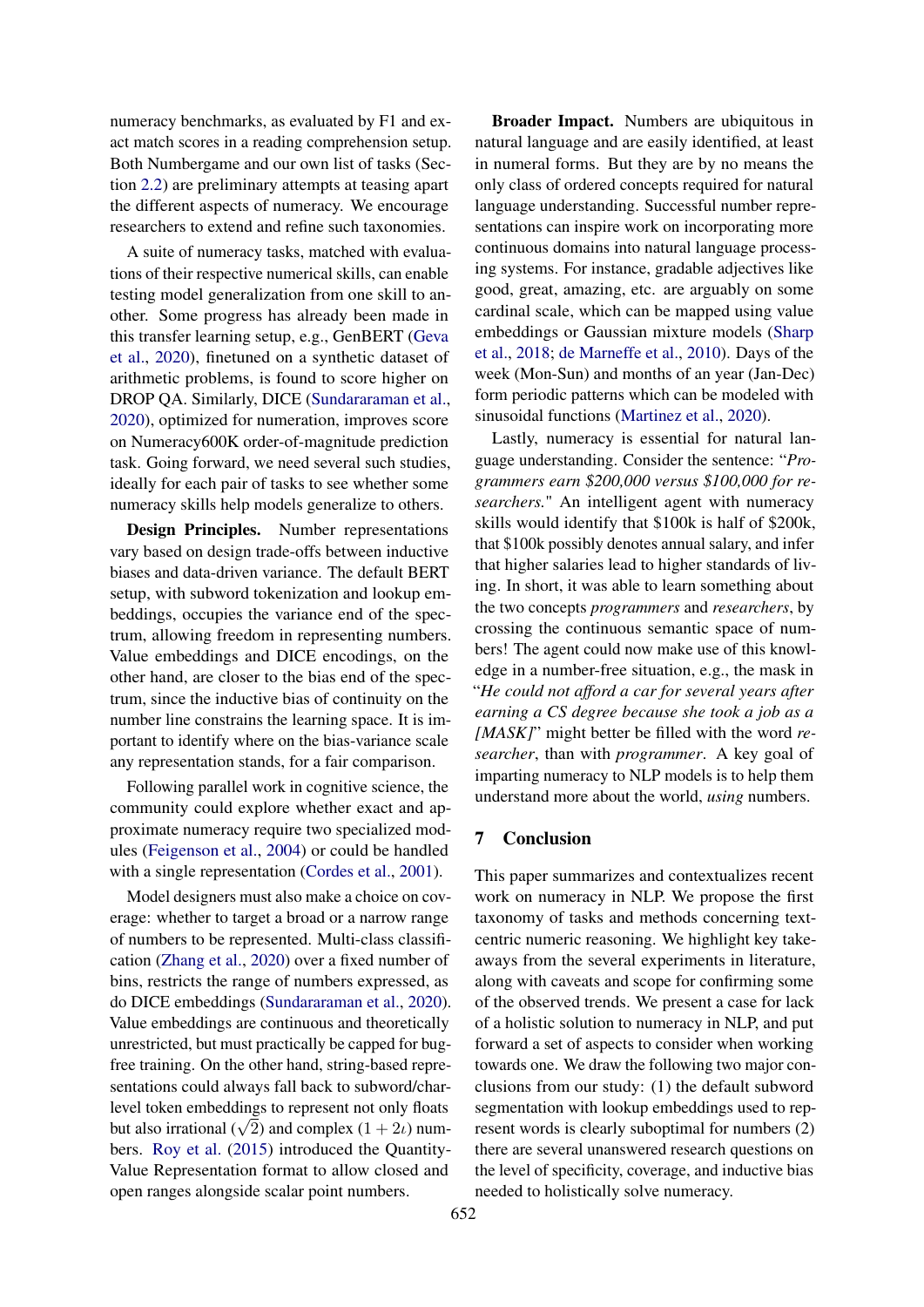numeracy benchmarks, as evaluated by F1 and exact match scores in a reading comprehension setup. Both Numbergame and our own list of tasks (Section [2.2\)](#page-1-2) are preliminary attempts at teasing apart the different aspects of numeracy. We encourage researchers to extend and refine such taxonomies.

A suite of numeracy tasks, matched with evaluations of their respective numerical skills, can enable testing model generalization from one skill to another. Some progress has already been made in this transfer learning setup, e.g., GenBERT [\(Geva](#page-10-2) [et al.,](#page-10-2) [2020\)](#page-10-2), finetuned on a synthetic dataset of arithmetic problems, is found to score higher on DROP QA. Similarly, DICE [\(Sundararaman et al.,](#page-11-10) [2020\)](#page-11-10), optimized for numeration, improves score on Numeracy600K order-of-magnitude prediction task. Going forward, we need several such studies, ideally for each pair of tasks to see whether some numeracy skills help models generalize to others.

Design Principles. Number representations vary based on design trade-offs between inductive biases and data-driven variance. The default BERT setup, with subword tokenization and lookup embeddings, occupies the variance end of the spectrum, allowing freedom in representing numbers. Value embeddings and DICE encodings, on the other hand, are closer to the bias end of the spectrum, since the inductive bias of continuity on the number line constrains the learning space. It is important to identify where on the bias-variance scale any representation stands, for a fair comparison.

Following parallel work in cognitive science, the community could explore whether exact and approximate numeracy require two specialized modules [\(Feigenson et al.,](#page-10-5) [2004\)](#page-10-5) or could be handled with a single representation [\(Cordes et al.,](#page-9-12) [2001\)](#page-9-12).

Model designers must also make a choice on coverage: whether to target a broad or a narrow range of numbers to be represented. Multi-class classification [\(Zhang et al.,](#page-12-2) [2020\)](#page-12-2) over a fixed number of bins, restricts the range of numbers expressed, as do DICE embeddings [\(Sundararaman et al.,](#page-11-10) [2020\)](#page-11-10). Value embeddings are continuous and theoretically unrestricted, but must practically be capped for bugfree training. On the other hand, string-based representations could always fall back to subword/charlevel token embeddings to represent not only floats but also irrational  $(\sqrt{2})$  and complex  $(1 + 2i)$  numbers. [Roy et al.](#page-11-7) [\(2015\)](#page-11-7) introduced the Quantity-Value Representation format to allow closed and open ranges alongside scalar point numbers.

Broader Impact. Numbers are ubiquitous in natural language and are easily identified, at least in numeral forms. But they are by no means the only class of ordered concepts required for natural language understanding. Successful number representations can inspire work on incorporating more continuous domains into natural language processing systems. For instance, gradable adjectives like good, great, amazing, etc. are arguably on some cardinal scale, which can be mapped using value embeddings or Gaussian mixture models [\(Sharp](#page-11-17) [et al.,](#page-11-17) [2018;](#page-11-17) [de Marneffe et al.,](#page-9-13) [2010\)](#page-9-13). Days of the week (Mon-Sun) and months of an year (Jan-Dec) form periodic patterns which can be modeled with sinusoidal functions [\(Martinez et al.,](#page-10-19) [2020\)](#page-10-19).

Lastly, numeracy is essential for natural language understanding. Consider the sentence: "*Programmers earn \$200,000 versus \$100,000 for researchers.*" An intelligent agent with numeracy skills would identify that \$100k is half of \$200k, that \$100k possibly denotes annual salary, and infer that higher salaries lead to higher standards of living. In short, it was able to learn something about the two concepts *programmers* and *researchers*, by crossing the continuous semantic space of numbers! The agent could now make use of this knowledge in a number-free situation, e.g., the mask in "*He could not afford a car for several years after earning a CS degree because she took a job as a [MASK]*" might better be filled with the word *researcher*, than with *programmer*. A key goal of imparting numeracy to NLP models is to help them understand more about the world, *using* numbers.

## 7 Conclusion

This paper summarizes and contextualizes recent work on numeracy in NLP. We propose the first taxonomy of tasks and methods concerning textcentric numeric reasoning. We highlight key takeaways from the several experiments in literature, along with caveats and scope for confirming some of the observed trends. We present a case for lack of a holistic solution to numeracy in NLP, and put forward a set of aspects to consider when working towards one. We draw the following two major conclusions from our study: (1) the default subword segmentation with lookup embeddings used to represent words is clearly suboptimal for numbers (2) there are several unanswered research questions on the level of specificity, coverage, and inductive bias needed to holistically solve numeracy.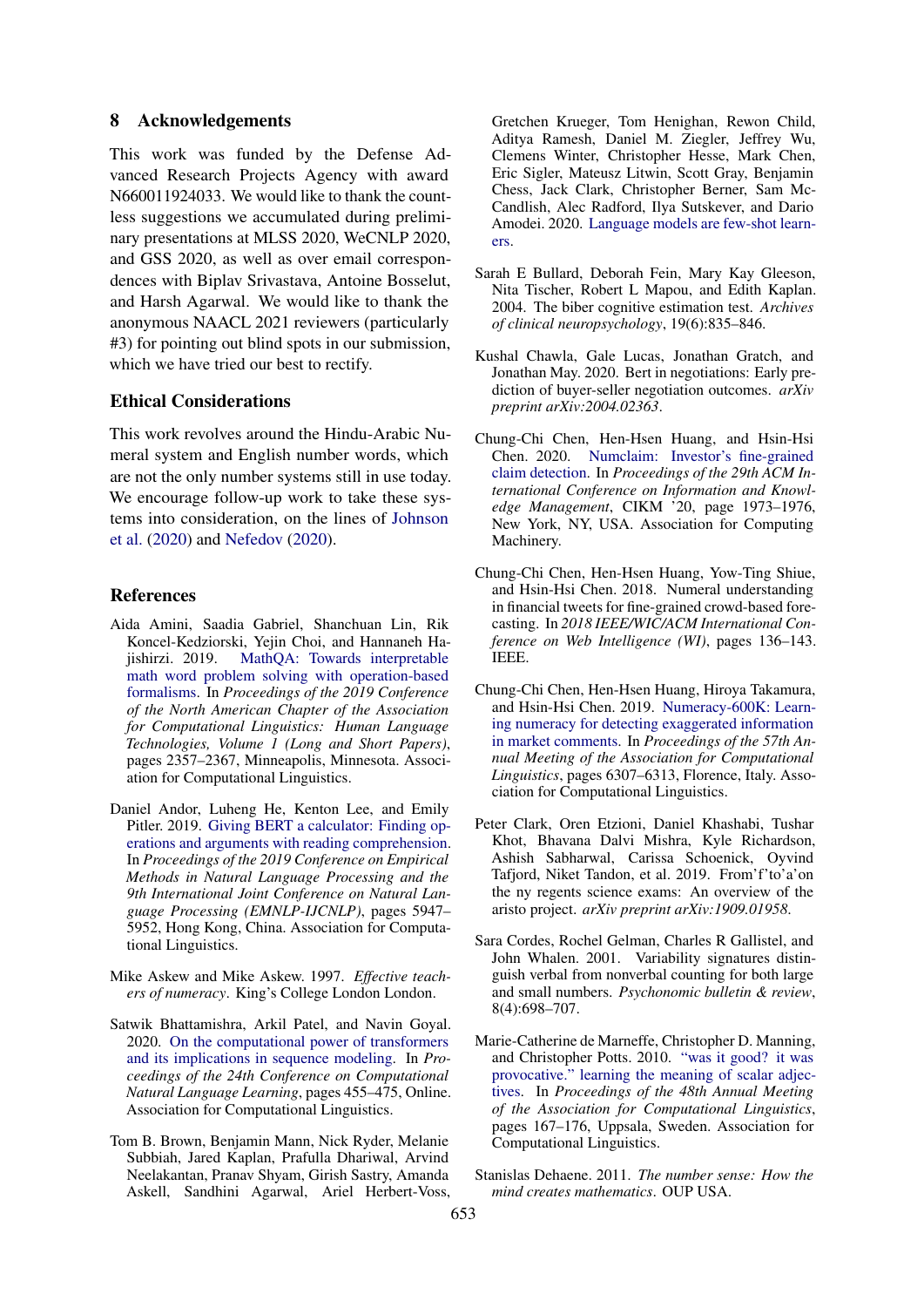### 8 Acknowledgements

This work was funded by the Defense Advanced Research Projects Agency with award N660011924033. We would like to thank the countless suggestions we accumulated during preliminary presentations at MLSS 2020, WeCNLP 2020, and GSS 2020, as well as over email correspondences with Biplav Srivastava, Antoine Bosselut, and Harsh Agarwal. We would like to thank the anonymous NAACL 2021 reviewers (particularly #3) for pointing out blind spots in our submission, which we have tried our best to rectify.

# Ethical Considerations

This work revolves around the Hindu-Arabic Numeral system and English number words, which are not the only number systems still in use today. We encourage follow-up work to take these systems into consideration, on the lines of [Johnson](#page-10-6) [et al.](#page-10-6) [\(2020\)](#page-10-6) and [Nefedov](#page-11-18) [\(2020\)](#page-11-18).

#### References

- <span id="page-9-4"></span>Aida Amini, Saadia Gabriel, Shanchuan Lin, Rik Koncel-Kedziorski, Yejin Choi, and Hannaneh Hajishirzi. 2019. [MathQA: Towards interpretable](https://doi.org/10.18653/v1/N19-1245) [math word problem solving with operation-based](https://doi.org/10.18653/v1/N19-1245) [formalisms.](https://doi.org/10.18653/v1/N19-1245) In *Proceedings of the 2019 Conference of the North American Chapter of the Association for Computational Linguistics: Human Language Technologies, Volume 1 (Long and Short Papers)*, pages 2357–2367, Minneapolis, Minnesota. Association for Computational Linguistics.
- <span id="page-9-10"></span>Daniel Andor, Luheng He, Kenton Lee, and Emily Pitler. 2019. [Giving BERT a calculator: Finding op](https://doi.org/10.18653/v1/D19-1609)[erations and arguments with reading comprehension.](https://doi.org/10.18653/v1/D19-1609) In *Proceedings of the 2019 Conference on Empirical Methods in Natural Language Processing and the 9th International Joint Conference on Natural Language Processing (EMNLP-IJCNLP)*, pages 5947– 5952, Hong Kong, China. Association for Computational Linguistics.
- <span id="page-9-11"></span>Mike Askew and Mike Askew. 1997. *Effective teachers of numeracy*. King's College London London.
- <span id="page-9-8"></span>Satwik Bhattamishra, Arkil Patel, and Navin Goyal. 2020. [On the computational power of transformers](https://www.aclweb.org/anthology/2020.conll-1.37) [and its implications in sequence modeling.](https://www.aclweb.org/anthology/2020.conll-1.37) In *Proceedings of the 24th Conference on Computational Natural Language Learning*, pages 455–475, Online. Association for Computational Linguistics.
- <span id="page-9-3"></span>Tom B. Brown, Benjamin Mann, Nick Ryder, Melanie Subbiah, Jared Kaplan, Prafulla Dhariwal, Arvind Neelakantan, Pranav Shyam, Girish Sastry, Amanda Askell, Sandhini Agarwal, Ariel Herbert-Voss,

Gretchen Krueger, Tom Henighan, Rewon Child, Aditya Ramesh, Daniel M. Ziegler, Jeffrey Wu, Clemens Winter, Christopher Hesse, Mark Chen, Eric Sigler, Mateusz Litwin, Scott Gray, Benjamin Chess, Jack Clark, Christopher Berner, Sam Mc-Candlish, Alec Radford, Ilya Sutskever, and Dario Amodei. 2020. [Language models are few-shot learn](http://arxiv.org/abs/2005.14165)[ers.](http://arxiv.org/abs/2005.14165)

- <span id="page-9-5"></span>Sarah E Bullard, Deborah Fein, Mary Kay Gleeson, Nita Tischer, Robert L Mapou, and Edith Kaplan. 2004. The biber cognitive estimation test. *Archives of clinical neuropsychology*, 19(6):835–846.
- <span id="page-9-2"></span>Kushal Chawla, Gale Lucas, Jonathan Gratch, and Jonathan May. 2020. Bert in negotiations: Early prediction of buyer-seller negotiation outcomes. *arXiv preprint arXiv:2004.02363*.
- <span id="page-9-6"></span>Chung-Chi Chen, Hen-Hsen Huang, and Hsin-Hsi Chen. 2020. [Numclaim: Investor's fine-grained](https://doi.org/10.1145/3340531.3412100) [claim detection.](https://doi.org/10.1145/3340531.3412100) In *Proceedings of the 29th ACM International Conference on Information and Knowledge Management*, CIKM '20, page 1973–1976, New York, NY, USA. Association for Computing Machinery.
- <span id="page-9-7"></span>Chung-Chi Chen, Hen-Hsen Huang, Yow-Ting Shiue, and Hsin-Hsi Chen. 2018. Numeral understanding in financial tweets for fine-grained crowd-based forecasting. In *2018 IEEE/WIC/ACM International Conference on Web Intelligence (WI)*, pages 136–143. IEEE.
- <span id="page-9-1"></span>Chung-Chi Chen, Hen-Hsen Huang, Hiroya Takamura, and Hsin-Hsi Chen. 2019. [Numeracy-600K: Learn](https://doi.org/10.18653/v1/P19-1635)[ing numeracy for detecting exaggerated information](https://doi.org/10.18653/v1/P19-1635) [in market comments.](https://doi.org/10.18653/v1/P19-1635) In *Proceedings of the 57th Annual Meeting of the Association for Computational Linguistics*, pages 6307–6313, Florence, Italy. Association for Computational Linguistics.
- <span id="page-9-9"></span>Peter Clark, Oren Etzioni, Daniel Khashabi, Tushar Khot, Bhavana Dalvi Mishra, Kyle Richardson, Ashish Sabharwal, Carissa Schoenick, Oyvind Tafjord, Niket Tandon, et al. 2019. From'f'to'a'on the ny regents science exams: An overview of the aristo project. *arXiv preprint arXiv:1909.01958*.
- <span id="page-9-12"></span>Sara Cordes, Rochel Gelman, Charles R Gallistel, and John Whalen. 2001. Variability signatures distinguish verbal from nonverbal counting for both large and small numbers. *Psychonomic bulletin & review*, 8(4):698–707.
- <span id="page-9-13"></span>Marie-Catherine de Marneffe, Christopher D. Manning, and Christopher Potts. 2010. ["was it good? it was](https://www.aclweb.org/anthology/P10-1018) [provocative." learning the meaning of scalar adjec](https://www.aclweb.org/anthology/P10-1018)[tives.](https://www.aclweb.org/anthology/P10-1018) In *Proceedings of the 48th Annual Meeting of the Association for Computational Linguistics*, pages 167–176, Uppsala, Sweden. Association for Computational Linguistics.
- <span id="page-9-0"></span>Stanislas Dehaene. 2011. *The number sense: How the mind creates mathematics*. OUP USA.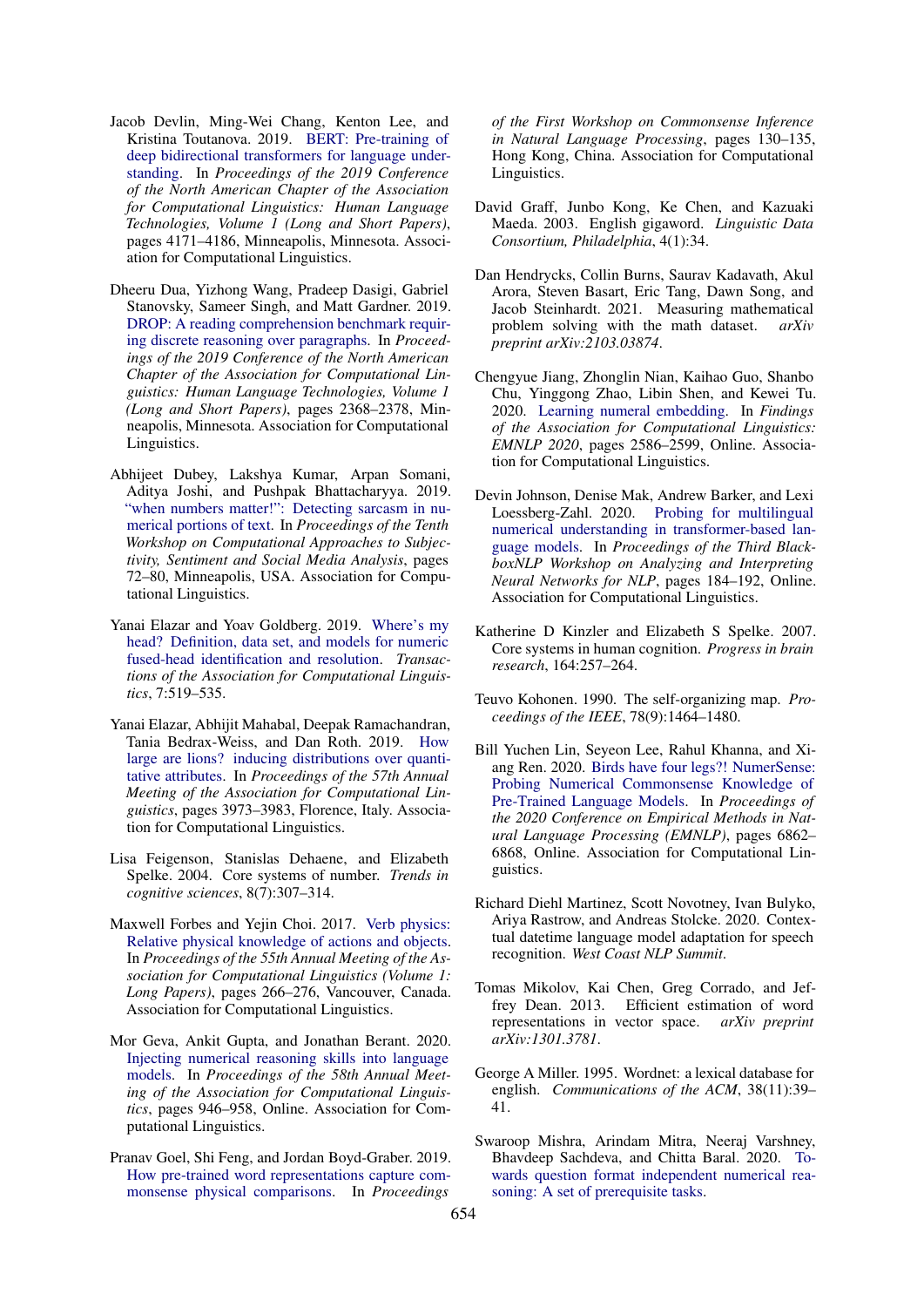- <span id="page-10-14"></span>Jacob Devlin, Ming-Wei Chang, Kenton Lee, and Kristina Toutanova. 2019. [BERT: Pre-training of](https://doi.org/10.18653/v1/N19-1423) [deep bidirectional transformers for language under](https://doi.org/10.18653/v1/N19-1423)[standing.](https://doi.org/10.18653/v1/N19-1423) In *Proceedings of the 2019 Conference of the North American Chapter of the Association for Computational Linguistics: Human Language Technologies, Volume 1 (Long and Short Papers)*, pages 4171–4186, Minneapolis, Minnesota. Association for Computational Linguistics.
- <span id="page-10-1"></span>Dheeru Dua, Yizhong Wang, Pradeep Dasigi, Gabriel Stanovsky, Sameer Singh, and Matt Gardner. 2019. [DROP: A reading comprehension benchmark requir](https://doi.org/10.18653/v1/N19-1246)[ing discrete reasoning over paragraphs.](https://doi.org/10.18653/v1/N19-1246) In *Proceedings of the 2019 Conference of the North American Chapter of the Association for Computational Linguistics: Human Language Technologies, Volume 1 (Long and Short Papers)*, pages 2368–2378, Minneapolis, Minnesota. Association for Computational Linguistics.
- <span id="page-10-4"></span>Abhijeet Dubey, Lakshya Kumar, Arpan Somani, Aditya Joshi, and Pushpak Bhattacharyya. 2019. ["when numbers matter!": Detecting sarcasm in nu](https://doi.org/10.18653/v1/W19-1309)[merical portions of text.](https://doi.org/10.18653/v1/W19-1309) In *Proceedings of the Tenth Workshop on Computational Approaches to Subjectivity, Sentiment and Social Media Analysis*, pages 72–80, Minneapolis, USA. Association for Computational Linguistics.
- <span id="page-10-13"></span>Yanai Elazar and Yoav Goldberg. 2019. [Where's my](https://doi.org/10.1162/tacl_a_00280) [head? Definition, data set, and models for numeric](https://doi.org/10.1162/tacl_a_00280) [fused-head identification and resolution.](https://doi.org/10.1162/tacl_a_00280) *Transactions of the Association for Computational Linguistics*, 7:519–535.
- <span id="page-10-11"></span>Yanai Elazar, Abhijit Mahabal, Deepak Ramachandran, Tania Bedrax-Weiss, and Dan Roth. 2019. [How](https://doi.org/10.18653/v1/P19-1388) [large are lions? inducing distributions over quanti](https://doi.org/10.18653/v1/P19-1388)[tative attributes.](https://doi.org/10.18653/v1/P19-1388) In *Proceedings of the 57th Annual Meeting of the Association for Computational Linguistics*, pages 3973–3983, Florence, Italy. Association for Computational Linguistics.
- <span id="page-10-5"></span>Lisa Feigenson, Stanislas Dehaene, and Elizabeth Spelke. 2004. Core systems of number. *Trends in cognitive sciences*, 8(7):307–314.
- <span id="page-10-10"></span>Maxwell Forbes and Yejin Choi. 2017. [Verb physics:](https://doi.org/10.18653/v1/P17-1025) [Relative physical knowledge of actions and objects.](https://doi.org/10.18653/v1/P17-1025) In *Proceedings of the 55th Annual Meeting of the Association for Computational Linguistics (Volume 1: Long Papers)*, pages 266–276, Vancouver, Canada. Association for Computational Linguistics.
- <span id="page-10-2"></span>Mor Geva, Ankit Gupta, and Jonathan Berant. 2020. [Injecting numerical reasoning skills into language](https://www.aclweb.org/anthology/2020.acl-main.89) [models.](https://www.aclweb.org/anthology/2020.acl-main.89) In *Proceedings of the 58th Annual Meeting of the Association for Computational Linguistics*, pages 946–958, Online. Association for Computational Linguistics.
- <span id="page-10-15"></span>Pranav Goel, Shi Feng, and Jordan Boyd-Graber. 2019. [How pre-trained word representations capture com](https://doi.org/10.18653/v1/D19-6016)[monsense physical comparisons.](https://doi.org/10.18653/v1/D19-6016) In *Proceedings*

*of the First Workshop on Commonsense Inference in Natural Language Processing*, pages 130–135, Hong Kong, China. Association for Computational Linguistics.

- <span id="page-10-0"></span>David Graff, Junbo Kong, Ke Chen, and Kazuaki Maeda. 2003. English gigaword. *Linguistic Data Consortium, Philadelphia*, 4(1):34.
- <span id="page-10-7"></span>Dan Hendrycks, Collin Burns, Saurav Kadavath, Akul Arora, Steven Basart, Eric Tang, Dawn Song, and Jacob Steinhardt. 2021. Measuring mathematical problem solving with the math dataset. *arXiv preprint arXiv:2103.03874*.
- <span id="page-10-3"></span>Chengyue Jiang, Zhonglin Nian, Kaihao Guo, Shanbo Chu, Yinggong Zhao, Libin Shen, and Kewei Tu. 2020. [Learning numeral embedding.](https://www.aclweb.org/anthology/2020.findings-emnlp.235) In *Findings of the Association for Computational Linguistics: EMNLP 2020*, pages 2586–2599, Online. Association for Computational Linguistics.
- <span id="page-10-6"></span>Devin Johnson, Denise Mak, Andrew Barker, and Lexi Loessberg-Zahl. 2020. [Probing for multilingual](https://www.aclweb.org/anthology/2020.blackboxnlp-1.18) [numerical understanding in transformer-based lan](https://www.aclweb.org/anthology/2020.blackboxnlp-1.18)[guage models.](https://www.aclweb.org/anthology/2020.blackboxnlp-1.18) In *Proceedings of the Third BlackboxNLP Workshop on Analyzing and Interpreting Neural Networks for NLP*, pages 184–192, Online. Association for Computational Linguistics.
- <span id="page-10-18"></span>Katherine D Kinzler and Elizabeth S Spelke. 2007. Core systems in human cognition. *Progress in brain research*, 164:257–264.
- <span id="page-10-17"></span>Teuvo Kohonen. 1990. The self-organizing map. *Proceedings of the IEEE*, 78(9):1464–1480.
- <span id="page-10-9"></span>Bill Yuchen Lin, Seyeon Lee, Rahul Khanna, and Xiang Ren. 2020. [Birds have four legs?! NumerSense:](https://doi.org/10.18653/v1/2020.emnlp-main.557) [Probing Numerical Commonsense Knowledge of](https://doi.org/10.18653/v1/2020.emnlp-main.557) [Pre-Trained Language Models.](https://doi.org/10.18653/v1/2020.emnlp-main.557) In *Proceedings of the 2020 Conference on Empirical Methods in Natural Language Processing (EMNLP)*, pages 6862– 6868, Online. Association for Computational Linguistics.
- <span id="page-10-19"></span>Richard Diehl Martinez, Scott Novotney, Ivan Bulyko, Ariya Rastrow, and Andreas Stolcke. 2020. Contextual datetime language model adaptation for speech recognition. *West Coast NLP Summit*.
- <span id="page-10-16"></span>Tomas Mikolov, Kai Chen, Greg Corrado, and Jeffrey Dean. 2013. Efficient estimation of word representations in vector space. *arXiv preprint arXiv:1301.3781*.
- <span id="page-10-12"></span>George A Miller. 1995. Wordnet: a lexical database for english. *Communications of the ACM*, 38(11):39– 41.
- <span id="page-10-8"></span>Swaroop Mishra, Arindam Mitra, Neeraj Varshney, Bhavdeep Sachdeva, and Chitta Baral. 2020. [To](http://arxiv.org/abs/2005.08516)[wards question format independent numerical rea](http://arxiv.org/abs/2005.08516)[soning: A set of prerequisite tasks.](http://arxiv.org/abs/2005.08516)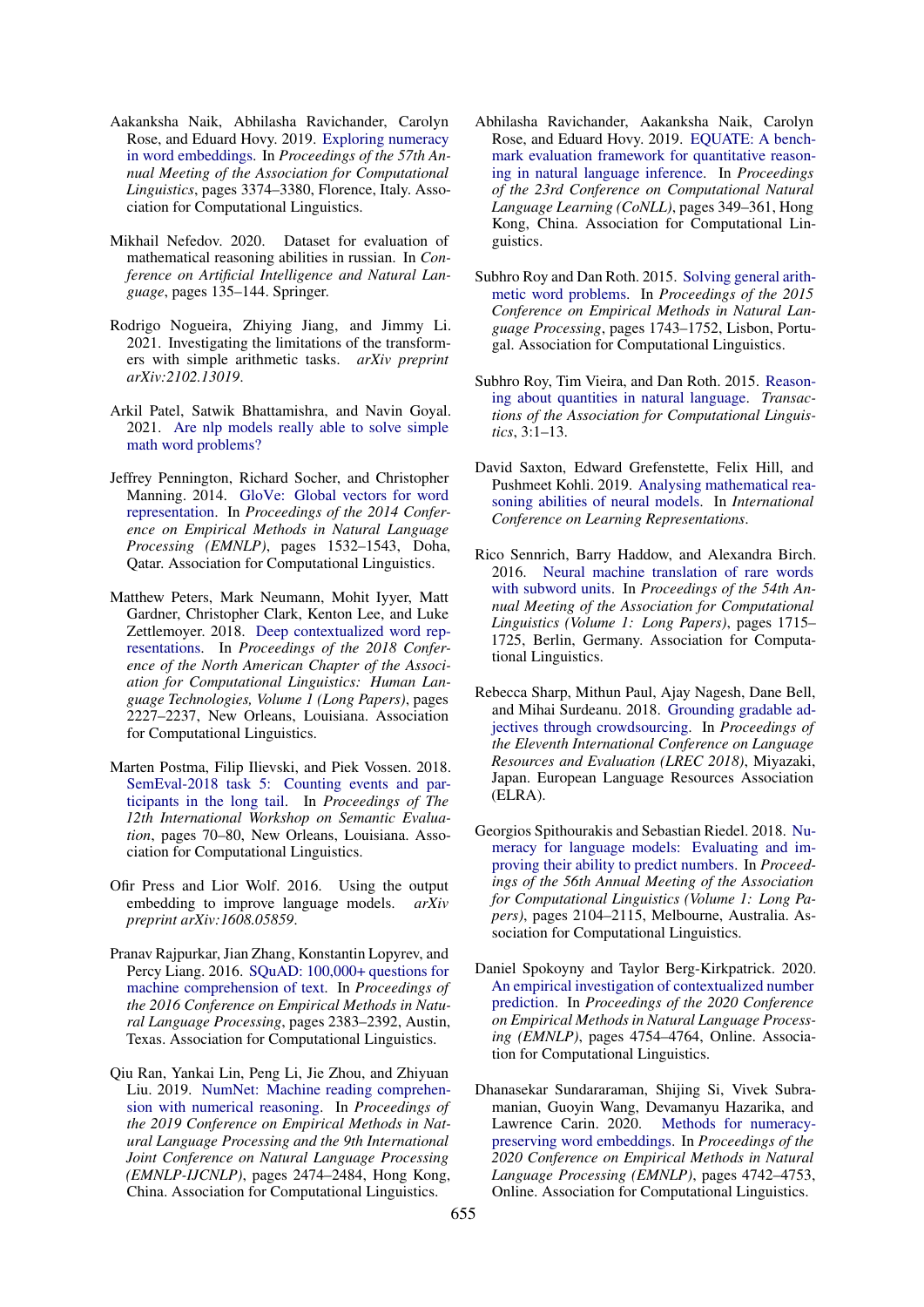- <span id="page-11-2"></span>Aakanksha Naik, Abhilasha Ravichander, Carolyn Rose, and Eduard Hovy. 2019. [Exploring numeracy](https://doi.org/10.18653/v1/P19-1329) [in word embeddings.](https://doi.org/10.18653/v1/P19-1329) In *Proceedings of the 57th Annual Meeting of the Association for Computational Linguistics*, pages 3374–3380, Florence, Italy. Association for Computational Linguistics.
- <span id="page-11-18"></span>Mikhail Nefedov. 2020. Dataset for evaluation of mathematical reasoning abilities in russian. In *Conference on Artificial Intelligence and Natural Language*, pages 135–144. Springer.
- <span id="page-11-9"></span>Rodrigo Nogueira, Zhiying Jiang, and Jimmy Li. 2021. Investigating the limitations of the transformers with simple arithmetic tasks. *arXiv preprint arXiv:2102.13019*.
- <span id="page-11-14"></span>Arkil Patel, Satwik Bhattamishra, and Navin Goyal. 2021. [Are nlp models really able to solve simple](http://arxiv.org/abs/2103.07191) [math word problems?](http://arxiv.org/abs/2103.07191)
- <span id="page-11-11"></span>Jeffrey Pennington, Richard Socher, and Christopher Manning. 2014. [GloVe: Global vectors for word](https://doi.org/10.3115/v1/D14-1162) [representation.](https://doi.org/10.3115/v1/D14-1162) In *Proceedings of the 2014 Conference on Empirical Methods in Natural Language Processing (EMNLP)*, pages 1532–1543, Doha, Qatar. Association for Computational Linguistics.
- <span id="page-11-12"></span>Matthew Peters, Mark Neumann, Mohit Iyyer, Matt Gardner, Christopher Clark, Kenton Lee, and Luke Zettlemoyer. 2018. [Deep contextualized word rep](https://doi.org/10.18653/v1/N18-1202)[resentations.](https://doi.org/10.18653/v1/N18-1202) In *Proceedings of the 2018 Conference of the North American Chapter of the Association for Computational Linguistics: Human Language Technologies, Volume 1 (Long Papers)*, pages 2227–2237, New Orleans, Louisiana. Association for Computational Linguistics.
- <span id="page-11-8"></span>Marten Postma, Filip Ilievski, and Piek Vossen. 2018. [SemEval-2018 task 5: Counting events and par](https://doi.org/10.18653/v1/S18-1009)[ticipants in the long tail.](https://doi.org/10.18653/v1/S18-1009) In *Proceedings of The 12th International Workshop on Semantic Evaluation*, pages 70–80, New Orleans, Louisiana. Association for Computational Linguistics.
- <span id="page-11-16"></span>Ofir Press and Lior Wolf. 2016. Using the output embedding to improve language models. *arXiv preprint arXiv:1608.05859*.
- <span id="page-11-13"></span>Pranav Rajpurkar, Jian Zhang, Konstantin Lopyrev, and Percy Liang. 2016. [SQuAD: 100,000+ questions for](https://doi.org/10.18653/v1/D16-1264) [machine comprehension of text.](https://doi.org/10.18653/v1/D16-1264) In *Proceedings of the 2016 Conference on Empirical Methods in Natural Language Processing*, pages 2383–2392, Austin, Texas. Association for Computational Linguistics.
- <span id="page-11-15"></span>Qiu Ran, Yankai Lin, Peng Li, Jie Zhou, and Zhiyuan Liu. 2019. [NumNet: Machine reading comprehen](https://doi.org/10.18653/v1/D19-1251)[sion with numerical reasoning.](https://doi.org/10.18653/v1/D19-1251) In *Proceedings of the 2019 Conference on Empirical Methods in Natural Language Processing and the 9th International Joint Conference on Natural Language Processing (EMNLP-IJCNLP)*, pages 2474–2484, Hong Kong, China. Association for Computational Linguistics.
- <span id="page-11-6"></span>Abhilasha Ravichander, Aakanksha Naik, Carolyn Rose, and Eduard Hovy. 2019. [EQUATE: A bench](https://doi.org/10.18653/v1/K19-1033)[mark evaluation framework for quantitative reason](https://doi.org/10.18653/v1/K19-1033)[ing in natural language inference.](https://doi.org/10.18653/v1/K19-1033) In *Proceedings of the 23rd Conference on Computational Natural Language Learning (CoNLL)*, pages 349–361, Hong Kong, China. Association for Computational Linguistics.
- <span id="page-11-4"></span>Subhro Roy and Dan Roth. 2015. [Solving general arith](https://doi.org/10.18653/v1/D15-1202)[metic word problems.](https://doi.org/10.18653/v1/D15-1202) In *Proceedings of the 2015 Conference on Empirical Methods in Natural Language Processing*, pages 1743–1752, Lisbon, Portugal. Association for Computational Linguistics.
- <span id="page-11-7"></span>Subhro Roy, Tim Vieira, and Dan Roth. 2015. [Reason](https://doi.org/10.1162/tacl_a_00118)[ing about quantities in natural language.](https://doi.org/10.1162/tacl_a_00118) *Transactions of the Association for Computational Linguistics*, 3:1–13.
- <span id="page-11-3"></span>David Saxton, Edward Grefenstette, Felix Hill, and Pushmeet Kohli. 2019. [Analysing mathematical rea](https://openreview.net/forum?id=H1gR5iR5FX)[soning abilities of neural models.](https://openreview.net/forum?id=H1gR5iR5FX) In *International Conference on Learning Representations*.
- <span id="page-11-0"></span>Rico Sennrich, Barry Haddow, and Alexandra Birch. 2016. [Neural machine translation of rare words](https://doi.org/10.18653/v1/P16-1162) [with subword units.](https://doi.org/10.18653/v1/P16-1162) In *Proceedings of the 54th Annual Meeting of the Association for Computational Linguistics (Volume 1: Long Papers)*, pages 1715– 1725, Berlin, Germany. Association for Computational Linguistics.
- <span id="page-11-17"></span>Rebecca Sharp, Mithun Paul, Ajay Nagesh, Dane Bell, and Mihai Surdeanu. 2018. [Grounding gradable ad](https://www.aclweb.org/anthology/L18-1529)[jectives through crowdsourcing.](https://www.aclweb.org/anthology/L18-1529) In *Proceedings of the Eleventh International Conference on Language Resources and Evaluation (LREC 2018)*, Miyazaki, Japan. European Language Resources Association (ELRA).
- <span id="page-11-1"></span>Georgios Spithourakis and Sebastian Riedel. 2018. [Nu](https://doi.org/10.18653/v1/P18-1196)[meracy for language models: Evaluating and im](https://doi.org/10.18653/v1/P18-1196)[proving their ability to predict numbers.](https://doi.org/10.18653/v1/P18-1196) In *Proceedings of the 56th Annual Meeting of the Association for Computational Linguistics (Volume 1: Long Papers)*, pages 2104–2115, Melbourne, Australia. Association for Computational Linguistics.
- <span id="page-11-5"></span>Daniel Spokoyny and Taylor Berg-Kirkpatrick. 2020. [An empirical investigation of contextualized number](https://www.aclweb.org/anthology/2020.emnlp-main.385) [prediction.](https://www.aclweb.org/anthology/2020.emnlp-main.385) In *Proceedings of the 2020 Conference on Empirical Methods in Natural Language Processing (EMNLP)*, pages 4754–4764, Online. Association for Computational Linguistics.
- <span id="page-11-10"></span>Dhanasekar Sundararaman, Shijing Si, Vivek Subramanian, Guoyin Wang, Devamanyu Hazarika, and Lawrence Carin. 2020. [Methods for numeracy](https://www.aclweb.org/anthology/2020.emnlp-main.384)[preserving word embeddings.](https://www.aclweb.org/anthology/2020.emnlp-main.384) In *Proceedings of the 2020 Conference on Empirical Methods in Natural Language Processing (EMNLP)*, pages 4742–4753, Online. Association for Computational Linguistics.